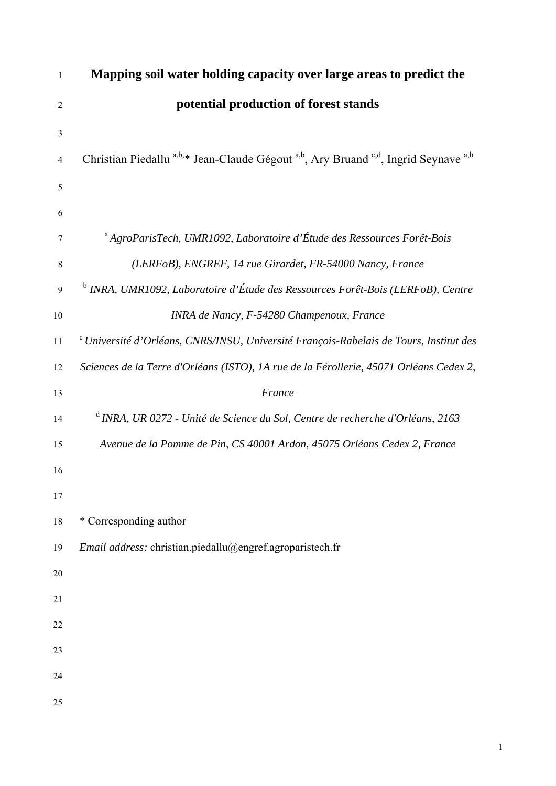# **Mapping soil water holding capacity over large areas to predict the potential production of forest stands**

Christian Piedallu a,b,\* Jean-Claude Gégout a,b, Ary Bruand <sup>c,d</sup>, Ingrid Seynave a,b

a 7 *AgroParisTech, UMR1092, Laboratoire d'Étude des Ressources Forêt-Bois (LERFoB), ENGREF, 14 rue Girardet, FR-54000 Nancy, France* <sup>b</sup> *INRA, UMR1092, Laboratoire d'Étude des Ressources Forêt-Bois (LERFoB), Centre INRA de Nancy, F-54280 Champenoux, France*

c 11 *Université d'Orléans, CNRS/INSU, Université François-Rabelais de Tours, Institut des Sciences de la Terre d'Orléans (ISTO), 1A rue de la Férollerie, 45071 Orléans Cedex 2, France*

d 14 *INRA, UR 0272 - Unité de Science du Sol, Centre de recherche d'Orléans, 2163 Avenue de la Pomme de Pin, CS 40001 Ardon, 45075 Orléans Cedex 2, France*

\* Corresponding author

*Email address:* christian.piedallu@engref.agroparistech.fr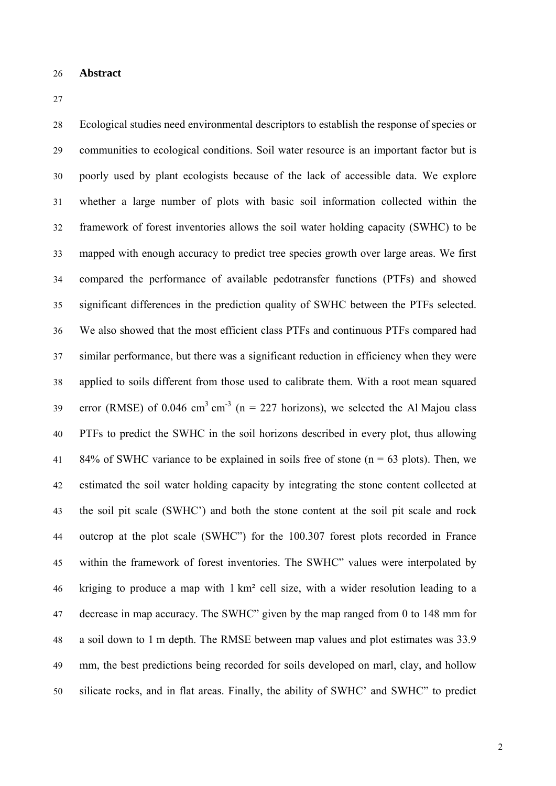#### 26 **Abstract**

Ecological studies need environmental descriptors to establish the response of species or communities to ecological conditions. Soil water resource is an important factor but is 30 poorly used by plant ecologists because of the lack of accessible data. We explore whether a large number of plots with basic soil information collected within the framework of forest inventories allows the soil water holding capacity (SWHC) to be mapped with enough accuracy to predict tree species growth over large areas. We first compared the performance of available pedotransfer functions (PTFs) and showed significant differences in the prediction quality of SWHC between the PTFs selected. We also showed that the most efficient class PTFs and continuous PTFs compared had similar performance, but there was a significant reduction in efficiency when they were applied to soils different from those used to calibrate them. With a root mean squared error (RMSE) of 0.046 cm<sup>3</sup> cm<sup>-3</sup> (n = 227 horizons), we selected the Al Majou class PTFs to predict the SWHC in the soil horizons described in every plot, thus allowing 84% of SWHC variance to be explained in soils free of stone ( $n = 63$  plots). Then, we estimated the soil water holding capacity by integrating the stone content collected at the soil pit scale (SWHC') and both the stone content at the soil pit scale and rock outcrop at the plot scale (SWHC") for the 100.307 forest plots recorded in France within the framework of forest inventories. The SWHC" values were interpolated by kriging to produce a map with  $1 \text{ km}^2$  cell size, with a wider resolution leading to a decrease in map accuracy. The SWHC" given by the map ranged from 0 to 148 mm for a soil down to 1 m depth. The RMSE between map values and plot estimates was 33.9 mm, the best predictions being recorded for soils developed on marl, clay, and hollow silicate rocks, and in flat areas. Finally, the ability of SWHC' and SWHC" to predict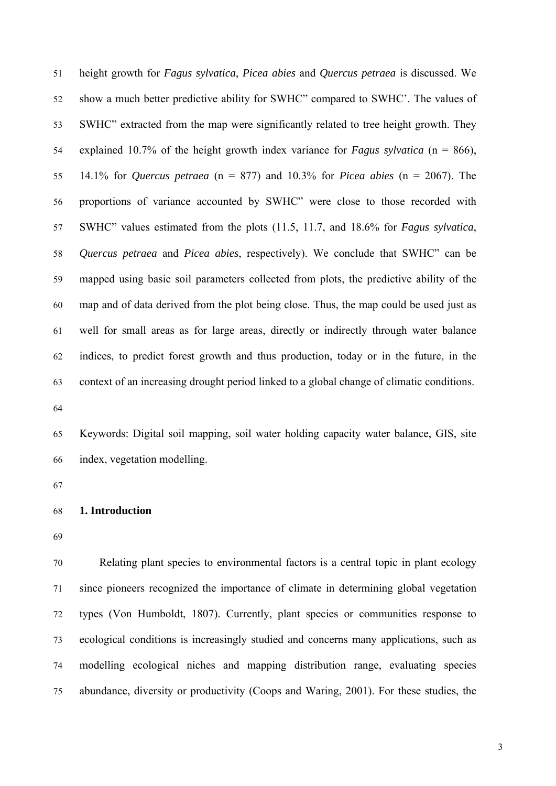51 height growth for *Fagus sylvatica*, *Picea abies* and *Quercus petraea* is discussed. We show a much better predictive ability for SWHC" compared to SWHC'. The values of 53 SWHC" extracted from the map were significantly related to tree height growth. They explained 10.7% of the height growth index variance for *Fagus sylvatica* ( $n = 866$ ), 55 14.1% for *Quercus petraea* (n = 877) and 10.3% for *Picea abies* (n = 2067). The proportions of variance accounted by SWHC" were close to those recorded with 57 SWHC" values estimated from the plots (11.5, 11.7, and 18.6% for *Fagus sylvatica*, 58 *Quercus petraea* and *Picea abies*, respectively). We conclude that SWHC" can be mapped using basic soil parameters collected from plots, the predictive ability of the map and of data derived from the plot being close. Thus, the map could be used just as well for small areas as for large areas, directly or indirectly through water balance indices, to predict forest growth and thus production, today or in the future, in the context of an increasing drought period linked to a global change of climatic conditions.

Keywords: Digital soil mapping, soil water holding capacity water balance, GIS, site index, vegetation modelling.

#### 68 **1. Introduction**

Relating plant species to environmental factors is a central topic in plant ecology since pioneers recognized the importance of climate in determining global vegetation types (Von Humboldt, 1807). Currently, plant species or communities response to 73 ecological conditions is increasingly studied and concerns many applications, such as modelling ecological niches and mapping distribution range, evaluating species abundance, diversity or productivity (Coops and Waring, 2001). For these studies, the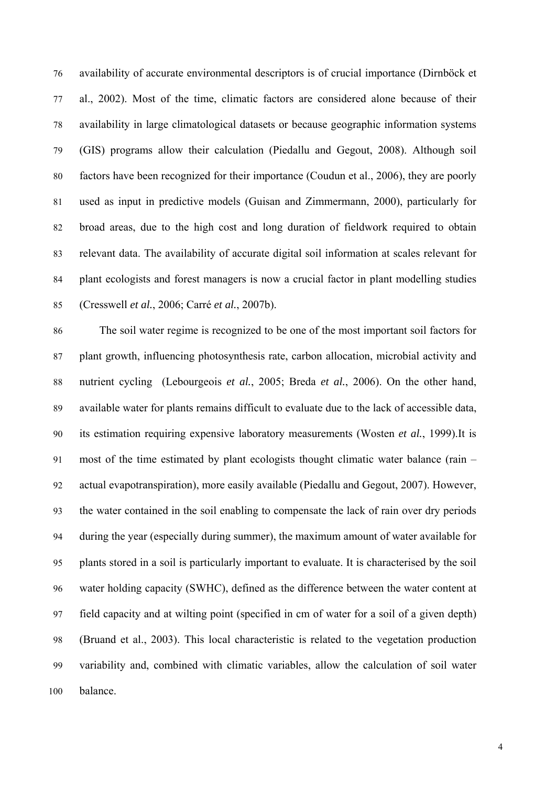76 availability of accurate environmental descriptors is of crucial importance (Dirnböck et al., 2002). Most of the time, climatic factors are considered alone because of their availability in large climatological datasets or because geographic information systems 79 (GIS) programs allow their calculation (Piedallu and Gegout, 2008). Although soil factors have been recognized for their importance (Coudun et al., 2006), they are poorly used as input in predictive models (Guisan and Zimmermann, 2000), particularly for broad areas, due to the high cost and long duration of fieldwork required to obtain relevant data. The availability of accurate digital soil information at scales relevant for plant ecologists and forest managers is now a crucial factor in plant modelling studies 85 (Cresswell *et al.*, 2006; Carré *et al.*, 2007b).

The soil water regime is recognized to be one of the most important soil factors for plant growth, influencing photosynthesis rate, carbon allocation, microbial activity and 88 nutrient cycling (Lebourgeois *et al.*, 2005; Breda *et al.*, 2006). On the other hand, available water for plants remains difficult to evaluate due to the lack of accessible data, its estimation requiring expensive laboratory measurements (Wosten et al., 1999).It is most of the time estimated by plant ecologists thought climatic water balance (rain  $$ actual evapotranspiration), more easily available (Piedallu and Gegout, 2007). However, 93 the water contained in the soil enabling to compensate the lack of rain over dry periods during the year (especially during summer), the maximum amount of water available for 95 plants stored in a soil is particularly important to evaluate. It is characterised by the soil water holding capacity (SWHC), defined as the difference between the water content at field capacity and at wilting point (specified in cm of water for a soil of a given depth) (Bruand et al., 2003). This local characteristic is related to the vegetation production variability and, combined with climatic variables, allow the calculation of soil water balance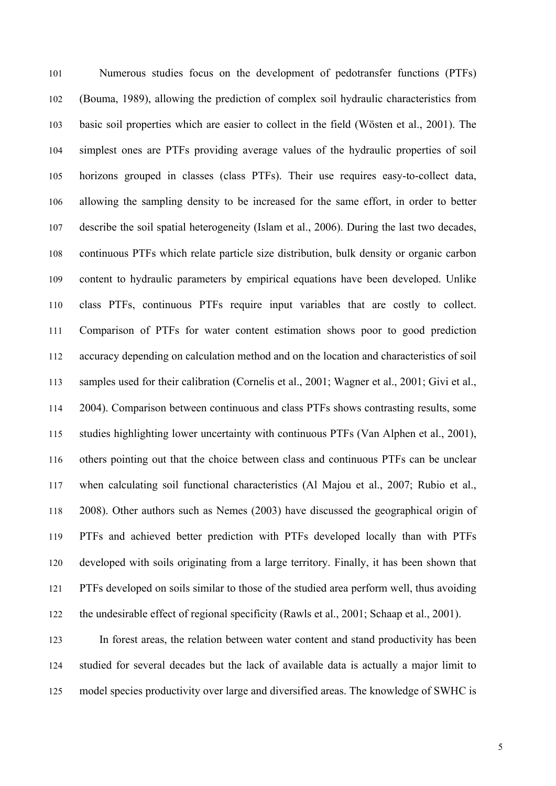Numerous studies focus on the development of pedotransfer functions (PTFs) 102 (Bouma, 1989), allowing the prediction of complex soil hydraulic characteristics from basic soil properties which are easier to collect in the field (Wösten et al., 2001). The simplest ones are PTFs providing average values of the hydraulic properties of soil horizons grouped in classes (class PTFs). Their use requires easy-to-collect data, allowing the sampling density to be increased for the same effort, in order to better describe the soil spatial heterogeneity (Islam et al., 2006). During the last two decades, 108 continuous PTFs which relate particle size distribution, bulk density or organic carbon content to hydraulic parameters by empirical equations have been developed. Unlike class PTFs, continuous PTFs require input variables that are costly to collect. Comparison of PTFs for water content estimation shows poor to good prediction accuracy depending on calculation method and on the location and characteristics of soil samples used for their calibration (Cornelis et al., 2001; Wagner et al., 2001; Givi et al., 114 2004). Comparison between continuous and class PTFs shows contrasting results, some studies highlighting lower uncertainty with continuous PTFs (Van Alphen et al., 2001), others pointing out that the choice between class and continuous PTFs can be unclear when calculating soil functional characteristics (Al Majou et al., 2007; Rubio et al., 2008). Other authors such as Nemes (2003) have discussed the geographical origin of PTFs and achieved better prediction with PTFs developed locally than with PTFs developed with soils originating from a large territory. Finally, it has been shown that PTFs developed on soils similar to those of the studied area perform well, thus avoiding the undesirable effect of regional specificity (Rawls et al., 2001; Schaap et al., 2001).

In forest areas, the relation between water content and stand productivity has been studied for several decades but the lack of available data is actually a major limit to model species productivity over large and diversified areas. The knowledge of SWHC is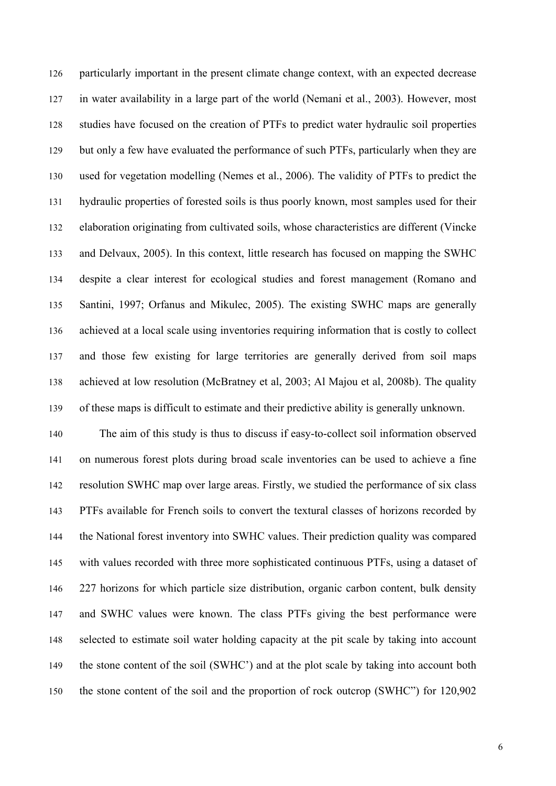particularly important in the present climate change context, with an expected decrease in water availability in a large part of the world (Nemani et al., 2003). However, most studies have focused on the creation of PTFs to predict water hydraulic soil properties but only a few have evaluated the performance of such PTFs, particularly when they are used for vegetation modelling (Nemes et al., 2006). The validity of PTFs to predict the hydraulic properties of forested soils is thus poorly known, most samples used for their elaboration originating from cultivated soils, whose characteristics are different (Vincke) and Delvaux, 2005). In this context, little research has focused on mapping the SWHC despite a clear interest for ecological studies and forest management (Romano and Santini, 1997; Orfanus and Mikulec, 2005). The existing SWHC maps are generally achieved at a local scale using inventories requiring information that is costly to collect and those few existing for large territories are generally derived from soil maps achieved at low resolution (McBratney et al, 2003; Al Majou et al, 2008b). The quality of these maps is difficult to estimate and their predictive ability is generally unknown.

The aim of this study is thus to discuss if easy-to-collect soil information observed on numerous forest plots during broad scale inventories can be used to achieve a fine resolution SWHC map over large areas. Firstly, we studied the performance of six class PTFs available for French soils to convert the textural classes of horizons recorded by the National forest inventory into SWHC values. Their prediction quality was compared with values recorded with three more sophisticated continuous PTFs, using a dataset of 227 horizons for which particle size distribution, organic carbon content, bulk density and SWHC values were known. The class PTFs giving the best performance were selected to estimate soil water holding capacity at the pit scale by taking into account the stone content of the soil (SWHC') and at the plot scale by taking into account both the stone content of the soil and the proportion of rock outcrop (SWHC") for 120,902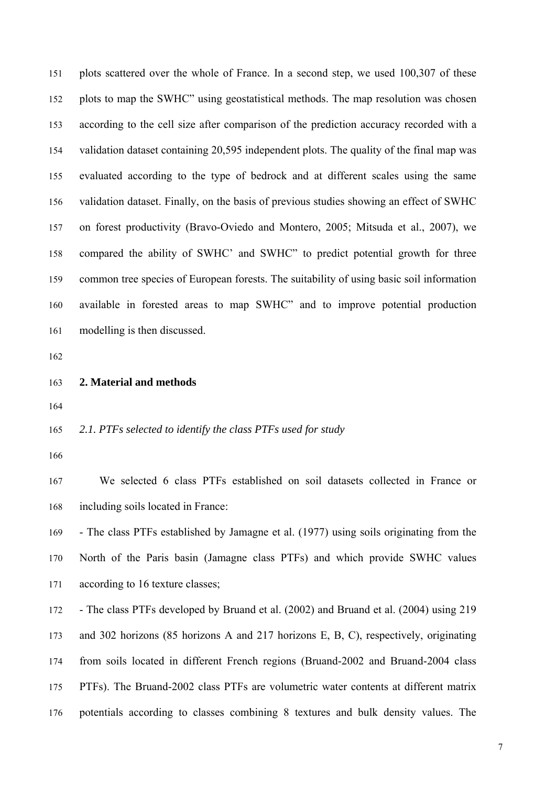plots scattered over the whole of France. In a second step, we used 100,307 of these plots to map the SWHC" using geostatistical methods. The map resolution was chosen according to the cell size after comparison of the prediction accuracy recorded with a validation dataset containing 20,595 independent plots. The quality of the final map was evaluated according to the type of bedrock and at different scales using the same validation dataset. Finally, on the basis of previous studies showing an effect of SWHC on forest productivity (Bravo-Oviedo and Montero, 2005; Mitsuda et al., 2007), we compared the ability of SWHC' and SWHC" to predict potential growth for three common tree species of European forests. The suitability of using basic soil information available in forested areas to map SWHC" and to improve potential production modelling is then discussed.

#### 163 **2. Material and methods**

#### 2.1. PTFs selected to identify the class PTFs used for study

We selected 6 class PTFs established on soil datasets collected in France or including soils located in France:

- The class PTFs established by Jamagne et al. (1977) using soils originating from the North of the Paris basin (Jamagne class PTFs) and which provide SWHC values according to 16 texture classes;

- The class PTFs developed by Bruand et al. (2002) and Bruand et al. (2004) using 219 and 302 horizons (85 horizons A and 217 horizons E, B, C), respectively, originating from soils located in different French regions (Bruand-2002 and Bruand-2004 class PTFs). The Bruand-2002 class PTFs are volumetric water contents at different matrix potentials according to classes combining 8 textures and bulk density values. The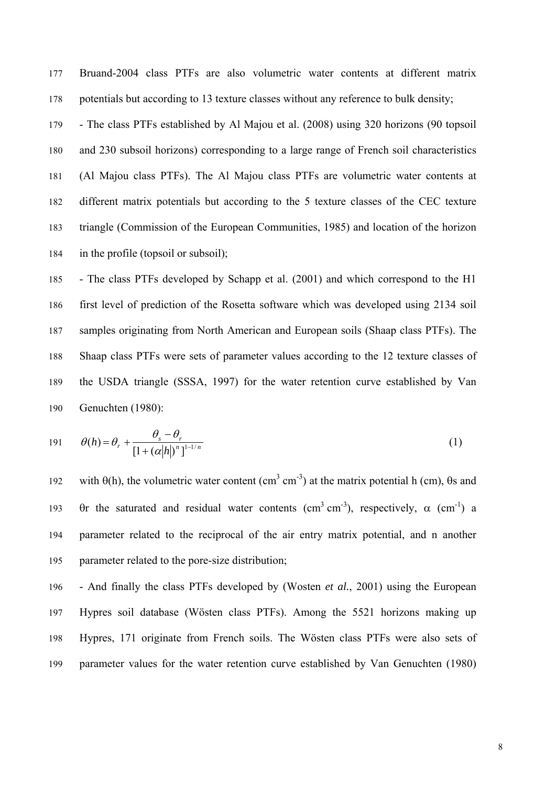Bruand-2004 class PTFs are also volumetric water contents at different matrix potentials but according to 13 texture classes without any reference to bulk density;

- The class PTFs established by Al Majou et al. (2008) using 320 horizons (90 topsoil and 230 subsoil horizons) corresponding to a large range of French soil characteristics 181 (Al Majou class PTFs). The Al Majou class PTFs are volumetric water contents at different matrix potentials but according to the 5 texture classes of the CEC texture 183 triangle (Commission of the European Communities, 1985) and location of the horizon in the profile (topsoil or subsoil);

- The class PTFs developed by Schapp et al. (2001) and which correspond to the H1 first level of prediction of the Rosetta software which was developed using 2134 soil samples originating from North American and European soils (Shaap class PTFs). The Shaap class PTFs were sets of parameter values according to the 12 texture classes of the USDA triangle (SSSA, 1997) for the water retention curve established by Van Genuchten (1980):

$$
\theta(h) = \theta_r + \frac{\theta_s - \theta_r}{\left[1 + (\alpha|h|^2)^n\right]^{1-1/n}}
$$
\n(1)

with  $\theta$ (h), the volumetric water content (cm<sup>3</sup> cm<sup>-3</sup>) at the matrix potential h (cm),  $\theta$ s and  $\theta$ r the saturated and residual water contents (cm<sup>3</sup> cm<sup>-3</sup>), respectively,  $\alpha$  (cm<sup>-1</sup>) a parameter related to the reciprocal of the air entry matrix potential, and n another parameter related to the pore-size distribution;

- And finally the class PTFs developed by (Wosten *et al.*, 2001) using the European Hypres soil database (Wösten class PTFs). Among the 5521 horizons making up Hypres, 171 originate from French soils. The Wösten class PTFs were also sets of parameter values for the water retention curve established by Van Genuchten (1980)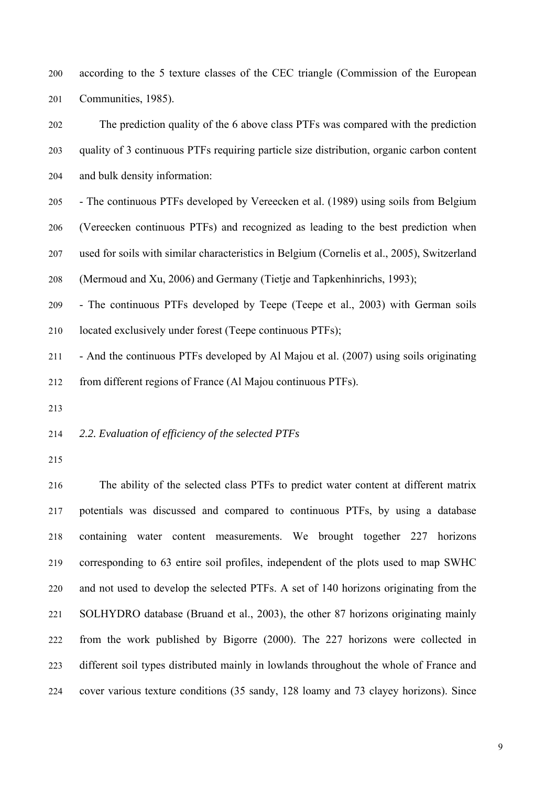according to the 5 texture classes of the CEC triangle (Commission of the European Communities, 1985).

The prediction quality of the 6 above class PTFs was compared with the prediction quality of 3 continuous PTFs requiring particle size distribution, organic carbon content and bulk density information:

- The continuous PTFs developed by Vereecken et al. (1989) using soils from Belgium (Vereecken continuous PTFs) and recognized as leading to the best prediction when used for soils with similar characteristics in Belgium (Cornelis et al., 2005), Switzerland (Mermoud and Xu, 2006) and Germany (Tietje and Tapkenhinrichs, 1993);

- The continuous PTFs developed by Teepe (Teepe et al., 2003) with German soils located exclusively under forest (Teepe continuous PTFs);

- And the continuous PTFs developed by Al Majou et al. (2007) using soils originating from different regions of France (Al Majou continuous PTFs).

# 2.2. Evaluation of efficiency of the selected PTFs

The ability of the selected class PTFs to predict water content at different matrix potentials was discussed and compared to continuous PTFs, by using a database containing water content measurements. We brought together 227 horizons corresponding to 63 entire soil profiles, independent of the plots used to map SWHC and not used to develop the selected PTFs. A set of 140 horizons originating from the SOLHYDRO database (Bruand et al., 2003), the other 87 horizons originating mainly 222 from the work published by Bigorre (2000). The 227 horizons were collected in different soil types distributed mainly in lowlands throughout the whole of France and 224 cover various texture conditions (35 sandy, 128 loamy and 73 clayey horizons). Since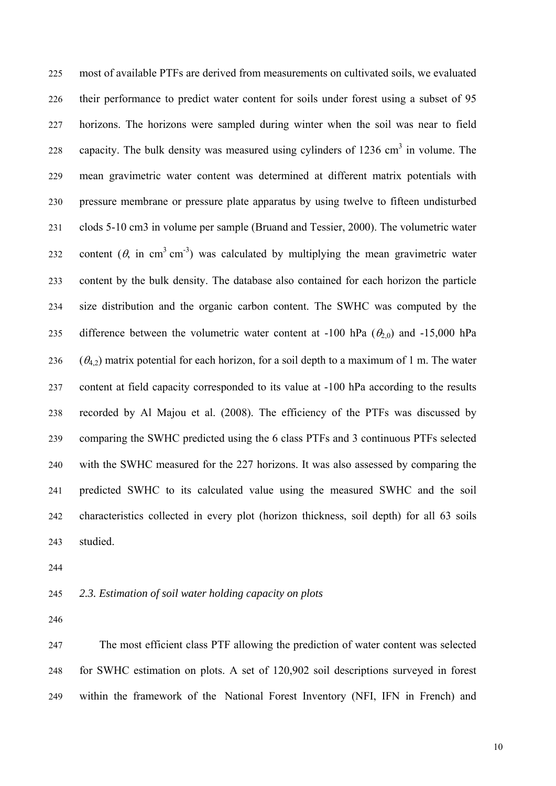most of available PTFs are derived from measurements on cultivated soils, we evaluated 226 their performance to predict water content for soils under forest using a subset of 95 horizons. The horizons were sampled during winter when the soil was near to field capacity. The bulk density was measured using cylinders of  $1236 \text{ cm}^3$  in volume. The mean gravimetric water content was determined at different matrix potentials with pressure membrane or pressure plate apparatus by using twelve to fifteen undisturbed clods 5-10 cm3 in volume per sample (Bruand and Tessier, 2000). The volumetric water content  $(\theta, \text{ in cm}^3 \text{ cm}^3)$  was calculated by multiplying the mean gravimetric water content by the bulk density. The database also contained for each horizon the particle size distribution and the organic carbon content. The SWHC was computed by the difference between the volumetric water content at -100 hPa ( $\theta_{2,0}$ ) and -15,000 hPa  $(\theta_{4,2})$  matrix potential for each horizon, for a soil depth to a maximum of 1 m. The water 237 content at field capacity corresponded to its value at -100 hPa according to the results recorded by Al Majou et al. (2008). The efficiency of the PTFs was discussed by 239 comparing the SWHC predicted using the 6 class PTFs and 3 continuous PTFs selected with the SWHC measured for the 227 horizons. It was also assessed by comparing the predicted SWHC to its calculated value using the measured SWHC and the soil 242 characteristics collected in every plot (horizon thickness, soil depth) for all 63 soils studied.

#### 2.3. Estimation of soil water holding capacity on plots

The most efficient class PTF allowing the prediction of water content was selected for SWHC estimation on plots. A set of 120,902 soil descriptions surveyed in forest within the framework of the National Forest Inventory (NFI, IFN in French) and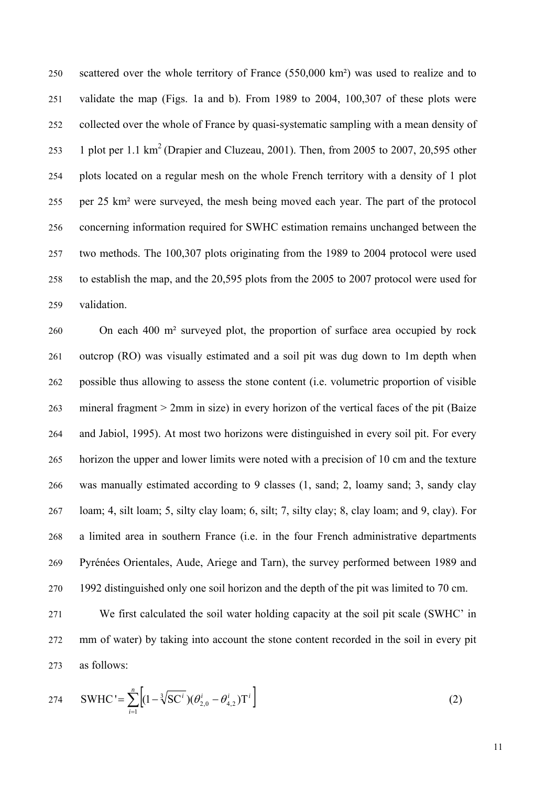scattered over the whole territory of France (550,000 km<sup>2</sup>) was used to realize and to validate the map (Figs. 1a and b). From 1989 to 2004,  $100,307$  of these plots were collected over the whole of France by quasi-systematic sampling with a mean density of 1 plot per 1.1 km<sup>2</sup> (Drapier and Cluzeau, 2001). Then, from 2005 to 2007, 20,595 other 254 plots located on a regular mesh on the whole French territory with a density of 1 plot per 25 km<sup>2</sup> were surveyed, the mesh being moved each year. The part of the protocol 256 concerning information required for SWHC estimation remains unchanged between the two methods. The 100,307 plots originating from the 1989 to 2004 protocol were used to establish the map, and the 20,595 plots from the 2005 to 2007 protocol were used for validation.

260 On each 400 m² surveyed plot, the proportion of surface area occupied by rock outcrop (RO) was visually estimated and a soil pit was dug down to 1m depth when possible thus allowing to assess the stone content (i.e. volumetric proportion of visible mineral fragment  $> 2$ mm in size) in every horizon of the vertical faces of the pit (Baize and Jabiol, 1995). At most two horizons were distinguished in every soil pit. For every horizon the upper and lower limits were noted with a precision of 10 cm and the texture was manually estimated according to 9 classes  $(1, \text{ sand}; 2, \text{loamy sand}; 3, \text{sandy clay})$ loam; 4, silt loam; 5, silty clay loam; 6, silt; 7, silty clay; 8, clay loam; and 9, clay). For a limited area in southern France (i.e. in the four French administrative departments Pyrénées Orientales, Aude, Ariege and Tarn), the survey performed between 1989 and 270 1992 distinguished only one soil horizon and the depth of the pit was limited to 70 cm.

We first calculated the soil water holding capacity at the soil pit scale (SWHC' in mm of water) by taking into account the stone content recorded in the soil in every pit as follows:

$$
SWHC' = \sum_{i=1}^{n} \left[ (1 - \sqrt[3]{SC^{i}})(\theta_{2,0}^{i} - \theta_{4,2}^{i})T^{i} \right]
$$
 (2)

11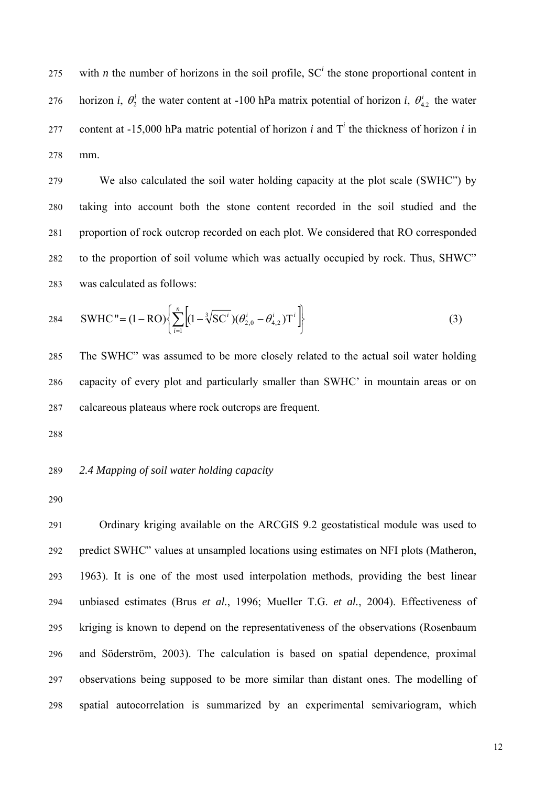with *n* the number of horizons in the soil profile,  $SC<sup>i</sup>$  the stone proportional content in horizon *i*,  $\theta_2^i$  the water content at -100 hPa matrix potential of horizon *i*,  $\theta_{4,2}^i$  the water content at  $-15,000$  hPa matric potential of horizon *i* and  $T<sup>i</sup>$  the thickness of horizon *i* in mm.

We also calculated the soil water holding capacity at the plot scale (SWHC") by taking into account both the stone content recorded in the soil studied and the proportion of rock outcrop recorded on each plot. We considered that RO corresponded to the proportion of soil volume which was actually occupied by rock. Thus, SHWC" was calculated as follows:

$$
\text{SWHC} \text{''} = (1 - \text{RO}) \left\{ \sum_{i=1}^{n} \left[ (1 - \sqrt[3]{\text{SC}^{i}}) (\theta_{2,0}^{i} - \theta_{4,2}^{i}) T^{i} \right] \right\} \tag{3}
$$

The SWHC" was assumed to be more closely related to the actual soil water holding capacity of every plot and particularly smaller than SWHC' in mountain areas or on calcareous plateaus where rock outcrops are frequent.

#### 2.4 Mapping of soil water holding capacity

Ordinary kriging available on the ARCGIS 9.2 geostatistical module was used to predict SWHC" values at unsampled locations using estimates on NFI plots (Matheron, 1963). It is one of the most used interpolation methods, providing the best linear 294 unbiased estimates (Brus *et al.*, 1996; Mueller T.G. *et al.*, 2004). Effectiveness of kriging is known to depend on the representativeness of the observations (Rosenbaum and Söderström, 2003). The calculation is based on spatial dependence, proximal observations being supposed to be more similar than distant ones. The modelling of spatial autocorrelation is summarized by an experimental semivariogram, which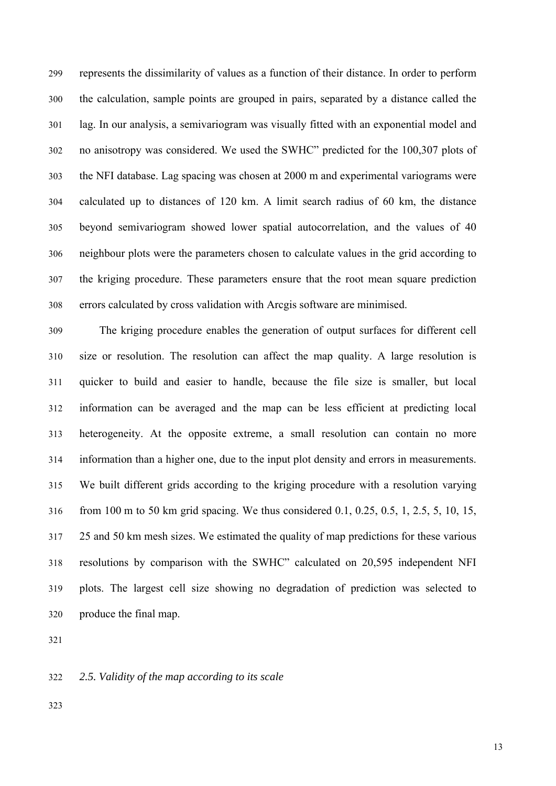represents the dissimilarity of values as a function of their distance. In order to perform the calculation, sample points are grouped in pairs, separated by a distance called the lag. In our analysis, a semivariogram was visually fitted with an exponential model and no anisotropy was considered. We used the SWHC" predicted for the 100,307 plots of the NFI database. Lag spacing was chosen at 2000 m and experimental variograms were calculated up to distances of  $120 \text{ km}$ . A limit search radius of  $60 \text{ km}$ , the distance beyond semivariogram showed lower spatial autocorrelation, and the values of 40 neighbour plots were the parameters chosen to calculate values in the grid according to the kriging procedure. These parameters ensure that the root mean square prediction errors calculated by cross validation with Arcgis software are minimised.

The kriging procedure enables the generation of output surfaces for different cell size or resolution. The resolution can affect the map quality. A large resolution is quicker to build and easier to handle, because the file size is smaller, but local information can be averaged and the map can be less efficient at predicting local heterogeneity. At the opposite extreme, a small resolution can contain no more information than a higher one, due to the input plot density and errors in measurements. We built different grids according to the kriging procedure with a resolution varying from 100 m to 50 km grid spacing. We thus considered 0.1, 0.25, 0.5, 1, 2.5, 5, 10, 15, 25 and 50 km mesh sizes. We estimated the quality of map predictions for these various resolutions by comparison with the SWHC" calculated on 20,595 independent NFI 319 plots. The largest cell size showing no degradation of prediction was selected to produce the final map.

322 *2.5. Validity of the map according to its scale*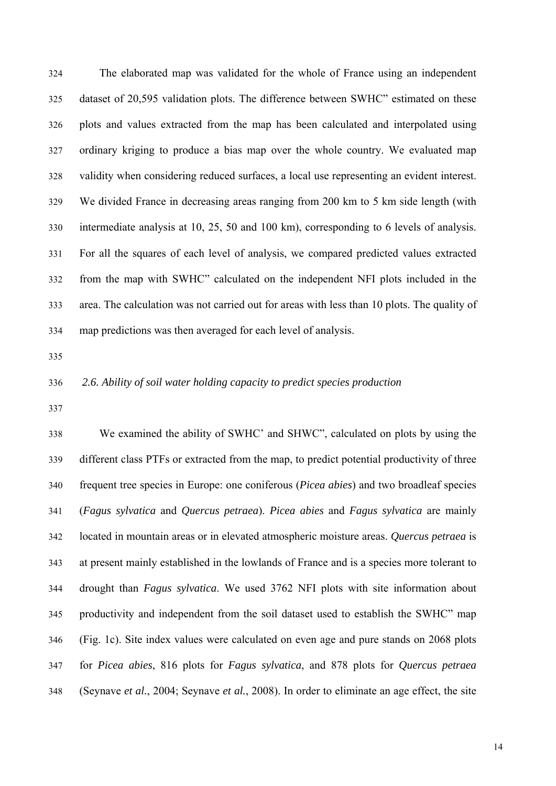The elaborated map was validated for the whole of France using an independent dataset of 20,595 validation plots. The difference between SWHC" estimated on these plots and values extracted from the map has been calculated and interpolated using ordinary kriging to produce a bias map over the whole country. We evaluated map validity when considering reduced surfaces, a local use representing an evident interest. We divided France in decreasing areas ranging from 200 km to 5 km side length (with intermediate analysis at 10, 25, 50 and 100 km), corresponding to 6 levels of analysis. 331 For all the squares of each level of analysis, we compared predicted values extracted from the map with SWHC" calculated on the independent NFI plots included in the area. The calculation was not carried out for areas with less than 10 plots. The quality of map predictions was then averaged for each level of analysis.

# 336 *2.6. Ability of soil water holding capacity to predict species production*

We examined the ability of SWHC' and SHWC", calculated on plots by using the different class PTFs or extracted from the map, to predict potential productivity of three 340 frequent tree species in Europe: one coniferous (*Picea abies*) and two broadleaf species 341 (*Fagus sylvatica* and *Quercus petraea*). *Picea abies* and *Fagus sylvatica* are mainly 342 located in mountain areas or in elevated atmospheric moisture areas. *Quercus petraea* is at present mainly established in the lowlands of France and is a species more tolerant to 344 drought than *Fagus sylvatica*. We used 3762 NFI plots with site information about productivity and independent from the soil dataset used to establish the SWHC" map 346 (Fig. 1c). Site index values were calculated on even age and pure stands on 2068 plots 347 for *Picea abies*, 816 plots for *Fagus sylvatica*, and 878 plots for *Quercus petraea* 348 (Seynave *et al.*, 2004; Seynave *et al.*, 2008). In order to eliminate an age effect, the site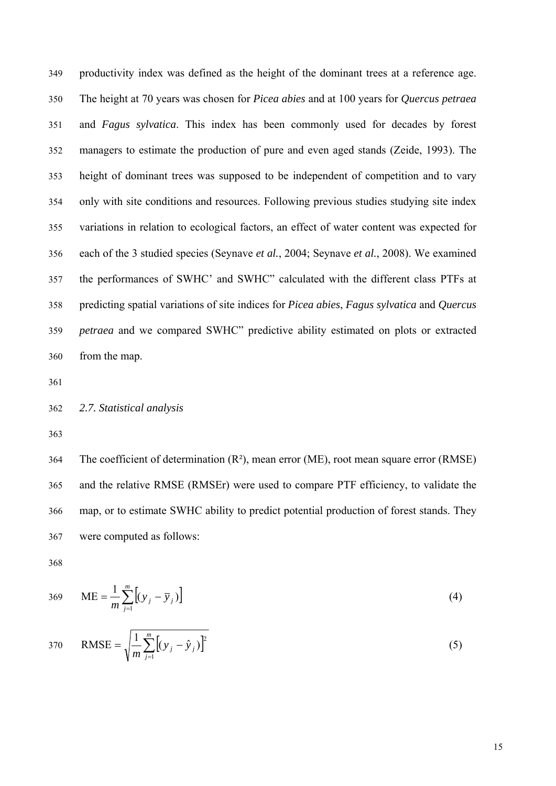productivity index was defined as the height of the dominant trees at a reference age. 350 The height at 70 years was chosen for *Picea abies* and at 100 years for *Quercus petraea* and *Fagus sylvatica*. This index has been commonly used for decades by forest managers to estimate the production of pure and even aged stands (Zeide, 1993). The height of dominant trees was supposed to be independent of competition and to vary only with site conditions and resources. Following previous studies studying site index variations in relation to ecological factors, an effect of water content was expected for 356 each of the 3 studied species (Seynave *et al.*, 2004; Seynave *et al.*, 2008). We examined the performances of SWHC' and SWHC" calculated with the different class PTFs at 358 predicting spatial variations of site indices for *Picea abies*, *Fagus sylvatica* and *Quercus*  359 *petraea* and we compared SWHC" predictive ability estimated on plots or extracted from the map.

#### 362 *2.7. Statistical analysis*

The coefficient of determination  $(R<sup>2</sup>)$ , mean error (ME), root mean square error (RMSE) and the relative RMSE (RMSEr) were used to compare PTF efficiency, to validate the map, or to estimate SWHC ability to predict potential production of forest stands. They were computed as follows:

$$
ME = \frac{1}{m} \sum_{j=1}^{m} \left[ (y_j - \overline{y}_j) \right]
$$
 (4)

RMSE = 
$$
\sqrt{\frac{1}{m} \sum_{j=1}^{m} [(y_j - \hat{y}_j)]^2}
$$
 (5)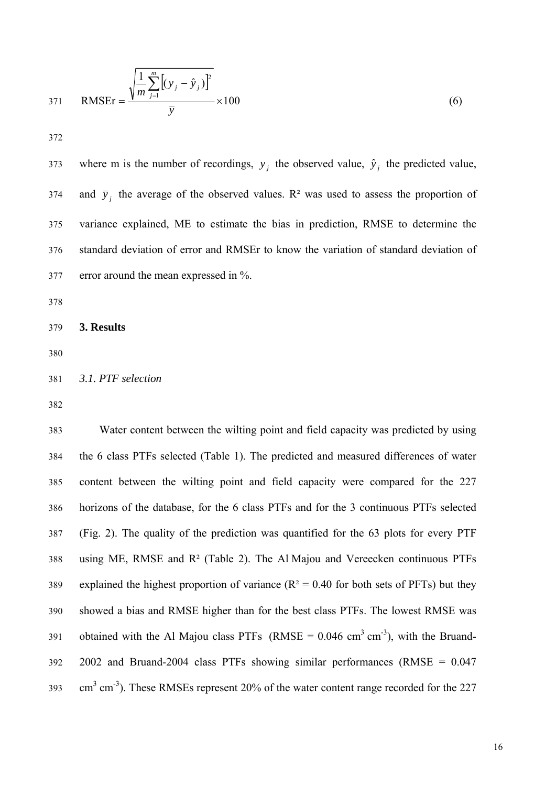RMSEr = 
$$
\frac{\sqrt{\frac{1}{m} \sum_{j=1}^{m} [(y_j - \hat{y}_j)]^2}}{\bar{y}} \times 100
$$
 (6)

where m is the number of recordings,  $y_j$  the observed value,  $\hat{y}_j$  the predicted value, and  $\bar{y}_j$  the average of the observed values. R<sup>2</sup> was used to assess the proportion of variance explained, ME to estimate the bias in prediction, RMSE to determine the standard deviation of error and RMSEr to know the variation of standard deviation of error around the mean expressed in %.

#### 3. Results

# 381 *3.1. PTF selection*

Water content between the wilting point and field capacity was predicted by using 384 the 6 class PTFs selected (Table 1). The predicted and measured differences of water content between the wilting point and field capacity were compared for the 227 horizons of the database, for the 6 class PTFs and for the 3 continuous PTFs selected  $(Fig. 2)$ . The quality of the prediction was quantified for the 63 plots for every PTF using ME, RMSE and  $R<sup>2</sup>$  (Table 2). The Al Majou and Vereecken continuous PTFs explained the highest proportion of variance ( $R<sup>2</sup> = 0.40$  for both sets of PFTs) but they showed a bias and RMSE higher than for the best class PTFs. The lowest RMSE was obtained with the Al Majou class PTFs (RMSE =  $0.046$  cm<sup>3</sup> cm<sup>3</sup>), with the Bruand- $2002$  and Bruand-2004 class PTFs showing similar performances (RMSE =  $0.047$ )  $\text{cm}^3 \text{ cm}^3$ ). These RMSEs represent 20% of the water content range recorded for the 227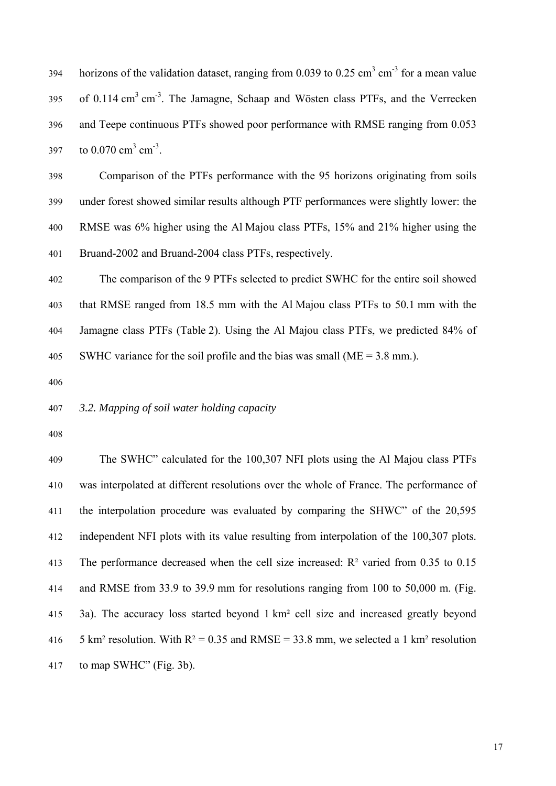horizons of the validation dataset, ranging from 0.039 to 0.25 cm<sup>3</sup> cm<sup>3</sup> for a mean value of 0.114 cm<sup>3</sup> cm<sup>-3</sup>. The Jamagne, Schaap and Wösten class PTFs, and the Verrecken and Teepe continuous PTFs showed poor performance with RMSE ranging from 0.053 to  $0.070 \text{ cm}^3 \text{ cm}^3$ .

398 Comparison of the PTFs performance with the 95 horizons originating from soils 399 under forest showed similar results although PTF performances were slightly lower: the RMSE was 6% higher using the Al Majou class PTFs, 15% and 21% higher using the Bruand-2002 and Bruand-2004 class PTFs, respectively.

The comparison of the 9 PTFs selected to predict SWHC for the entire soil showed that RMSE ranged from 18.5 mm with the Al Majou class PTFs to 50.1 mm with the Jamagne class PTFs (Table 2). Using the Al Majou class PTFs, we predicted 84% of SWHC variance for the soil profile and the bias was small ( $ME = 3.8$  mm.).

#### 407 *3.2. Mapping of soil water holding capacity*

The SWHC" calculated for the 100,307 NFI plots using the Al Majou class PTFs was interpolated at different resolutions over the whole of France. The performance of the interpolation procedure was evaluated by comparing the SHWC" of the  $20,595$ independent NFI plots with its value resulting from interpolation of the 100,307 plots. The performance decreased when the cell size increased:  $R<sup>2</sup>$  varied from 0.35 to 0.15 and RMSE from 33.9 to 39.9 mm for resolutions ranging from 100 to 50,000 m. (Fig. 3a). The accuracy loss started beyond 1 km<sup>2</sup> cell size and increased greatly beyond 5 km² resolution. With  $R^2 = 0.35$  and RMSE = 33.8 mm, we selected a 1 km² resolution to map SWHC" (Fig. 3b).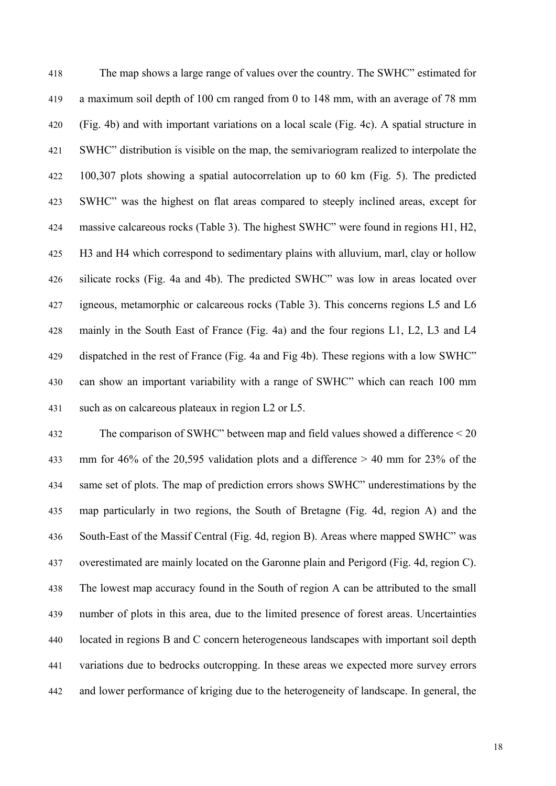The map shows a large range of values over the country. The SWHC" estimated for a maximum soil depth of 100 cm ranged from 0 to 148 mm, with an average of 78 mm  $(Fig. 4b)$  and with important variations on a local scale  $(Fig. 4c)$ . A spatial structure in SWHC" distribution is visible on the map, the semivariogram realized to interpolate the  $100,307$  plots showing a spatial autocorrelation up to 60 km (Fig. 5). The predicted SWHC" was the highest on flat areas compared to steeply inclined areas, except for massive calcareous rocks (Table 3). The highest SWHC" were found in regions H1, H2, H3 and H4 which correspond to sedimentary plains with alluvium, marl, clay or hollow silicate rocks (Fig. 4a and 4b). The predicted SWHC" was low in areas located over igneous, metamorphic or calcareous rocks (Table 3). This concerns regions L5 and L6 mainly in the South East of France (Fig. 4a) and the four regions L1, L2, L3 and L4 dispatched in the rest of France (Fig. 4a and Fig 4b). These regions with a low SWHC" can show an important variability with a range of SWHC" which can reach 100 mm such as on calcareous plateaux in region L2 or L5.

The comparison of SWHC" between map and field values showed a difference  $\leq$  20 mm for 46% of the 20,595 validation plots and a difference  $> 40$  mm for 23% of the same set of plots. The map of prediction errors shows SWHC" underestimations by the map particularly in two regions, the South of Bretagne (Fig. 4d, region A) and the South-East of the Massif Central (Fig. 4d, region B). Areas where mapped SWHC" was overestimated are mainly located on the Garonne plain and Perigord (Fig. 4d, region C). The lowest map accuracy found in the South of region A can be attributed to the small number of plots in this area, due to the limited presence of forest areas. Uncertainties located in regions B and C concern heterogeneous landscapes with important soil depth variations due to bedrocks outcropping. In these areas we expected more survey errors and lower performance of kriging due to the heterogeneity of landscape. In general, the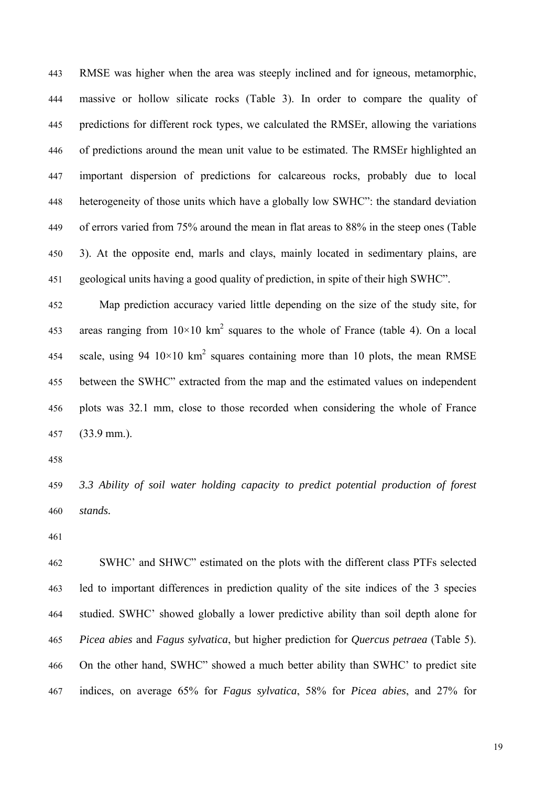RMSE was higher when the area was steeply inclined and for igneous, metamorphic, massive or hollow silicate rocks (Table 3). In order to compare the quality of predictions for different rock types, we calculated the RMSEr, allowing the variations of predictions around the mean unit value to be estimated. The RMSEr highlighted an important dispersion of predictions for calcareous rocks, probably due to local heterogeneity of those units which have a globally low SWHC": the standard deviation of errors varied from 75% around the mean in flat areas to 88% in the steep ones (Table 3). At the opposite end, marls and clays, mainly located in sedimentary plains, are 451 geological units having a good quality of prediction, in spite of their high SWHC".

Map prediction accuracy varied little depending on the size of the study site, for areas ranging from  $10\times10$  km<sup>2</sup> squares to the whole of France (table 4). On a local scale, using 94  $10 \times 10$  km<sup>2</sup> squares containing more than 10 plots, the mean RMSE between the SWHC" extracted from the map and the estimated values on independent plots was 32.1 mm, close to those recorded when considering the whole of France  $(33.9 \text{ mm.})$ .

459 *3.3 Ability of soil water holding capacity to predict potential production of forest*  stands.

SWHC' and SHWC" estimated on the plots with the different class PTFs selected led to important differences in prediction quality of the site indices of the 3 species studied. SWHC' showed globally a lower predictive ability than soil depth alone for 465 *Picea abies* and *Fagus sylvatica*, but higher prediction for *Quercus petraea* (Table 5). 466 On the other hand, SWHC" showed a much better ability than SWHC' to predict site 467 indices, on average 65% for *Fagus sylvatica*, 58% for *Picea abies*, and 27% for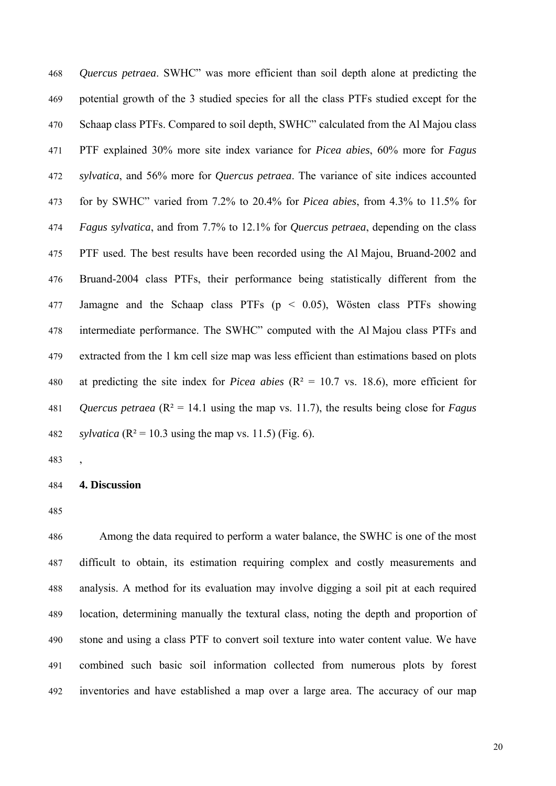468 *Quercus petraea*. SWHC" was more efficient than soil depth alone at predicting the 469 potential growth of the 3 studied species for all the class PTFs studied except for the Schaap class PTFs. Compared to soil depth, SWHC" calculated from the Al Majou class 471 PTF explained 30% more site index variance for *Picea abies*, 60% more for *Fagus*  472 *sylvatica*, and 56% more for *Quercus petraea*. The variance of site indices accounted 473 for by SWHC" varied from 7.2% to 20.4% for *Picea abies*, from 4.3% to 11.5% for 474 *Fagus sylvatica*, and from 7.7% to 12.1% for *Quercus petraea*, depending on the class PTF used. The best results have been recorded using the Al Majou, Bruand-2002 and Bruand-2004 class PTFs, their performance being statistically different from the Jamagne and the Schaap class PTFs  $(p < 0.05)$ , Wösten class PTFs showing intermediate performance. The SWHC" computed with the Al Majou class PTFs and extracted from the 1 km cell size map was less efficient than estimations based on plots at predicting the site index for *Picea abies* ( $R^2 = 10.7$  vs. 18.6), more efficient for *Quercus petraea* ( $R^2 = 14.1$  using the map vs. 11.7), the results being close for *Fagus* sylvatica ( $R^2 = 10.3$  using the map vs. 11.5) (Fig. 6).

#### 484 **4. Discussion**

 $\overline{\phantom{a}}$ 

Among the data required to perform a water balance, the SWHC is one of the most difficult to obtain, its estimation requiring complex and costly measurements and analysis. A method for its evaluation may involve digging a soil pit at each required location, determining manually the textural class, noting the depth and proportion of stone and using a class PTF to convert soil texture into water content value. We have combined such basic soil information collected from numerous plots by forest inventories and have established a map over a large area. The accuracy of our map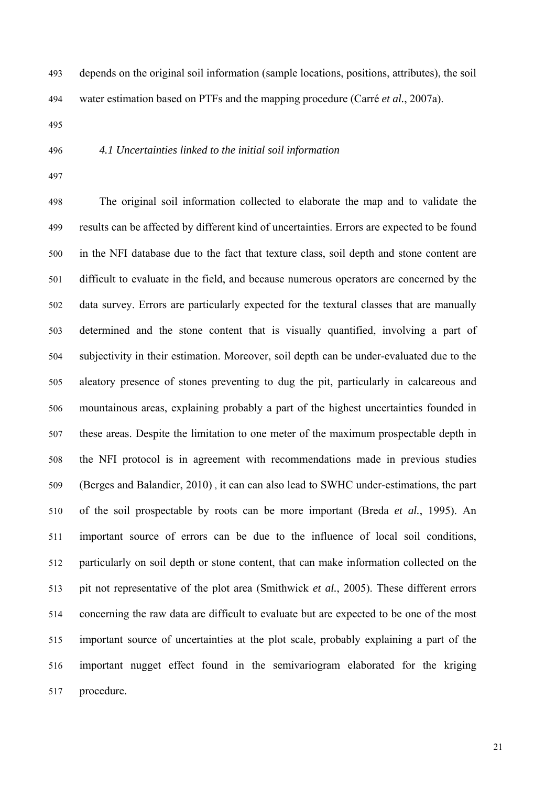depends on the original soil information (sample locations, positions, attributes), the soil water estimation based on PTFs and the mapping procedure (Carré *et al.*, 2007a).

# 496 *4.1 Uncertainties linked to the initial soil information*

The original soil information collected to elaborate the map and to validate the results can be affected by different kind of uncertainties. Errors are expected to be found in the NFI database due to the fact that texture class, soil depth and stone content are difficult to evaluate in the field, and because numerous operators are concerned by the data survey. Errors are particularly expected for the textural classes that are manually determined and the stone content that is visually quantified, involving a part of subjectivity in their estimation. Moreover, soil depth can be under-evaluated due to the aleatory presence of stones preventing to dug the pit, particularly in calcareous and mountainous areas, explaining probably a part of the highest uncertainties founded in these areas. Despite the limitation to one meter of the maximum prospectable depth in the NFI protocol is in agreement with recommendations made in previous studies (Berges and Balandier, 2010), it can can also lead to SWHC under-estimations, the part 510 of the soil prospectable by roots can be more important (Breda *et al.*, 1995). An important source of errors can be due to the influence of local soil conditions, particularly on soil depth or stone content, that can make information collected on the pit not representative of the plot area (Smithwick *et al.*, 2005). These different errors 514 concerning the raw data are difficult to evaluate but are expected to be one of the most important source of uncertainties at the plot scale, probably explaining a part of the important nugget effect found in the semivariogram elaborated for the kriging procedure.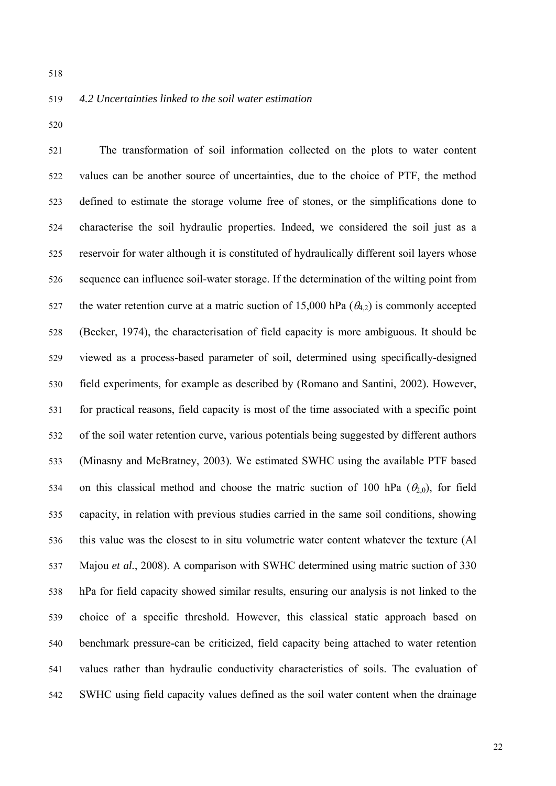# 519 *4.2 Uncertainties linked to the soil water estimation*

The transformation of soil information collected on the plots to water content values can be another source of uncertainties, due to the choice of PTF, the method defined to estimate the storage volume free of stones, or the simplifications done to characterise the soil hydraulic properties. Indeed, we considered the soil just as a reservoir for water although it is constituted of hydraulically different soil layers whose sequence can influence soil-water storage. If the determination of the wilting point from the water retention curve at a matric suction of 15,000 hPa ( $\theta_{4,2}$ ) is commonly accepted (Becker, 1974), the characterisation of field capacity is more ambiguous. It should be 529 viewed as a process-based parameter of soil, determined using specifically-designed field experiments, for example as described by (Romano and Santini, 2002). However, for practical reasons, field capacity is most of the time associated with a specific point of the soil water retention curve, various potentials being suggested by different authors (Minasny and McBratney, 2003). We estimated SWHC using the available PTF based on this classical method and choose the matric suction of 100 hPa ( $\theta_{2,0}$ ), for field capacity, in relation with previous studies carried in the same soil conditions, showing this value was the closest to in situ volumetric water content whatever the texture (Al Majou et al., 2008). A comparison with SWHC determined using matric suction of 330 hPa for field capacity showed similar results, ensuring our analysis is not linked to the 539 choice of a specific threshold. However, this classical static approach based on benchmark pressure-can be criticized, field capacity being attached to water retention values rather than hydraulic conductivity characteristics of soils. The evaluation of SWHC using field capacity values defined as the soil water content when the drainage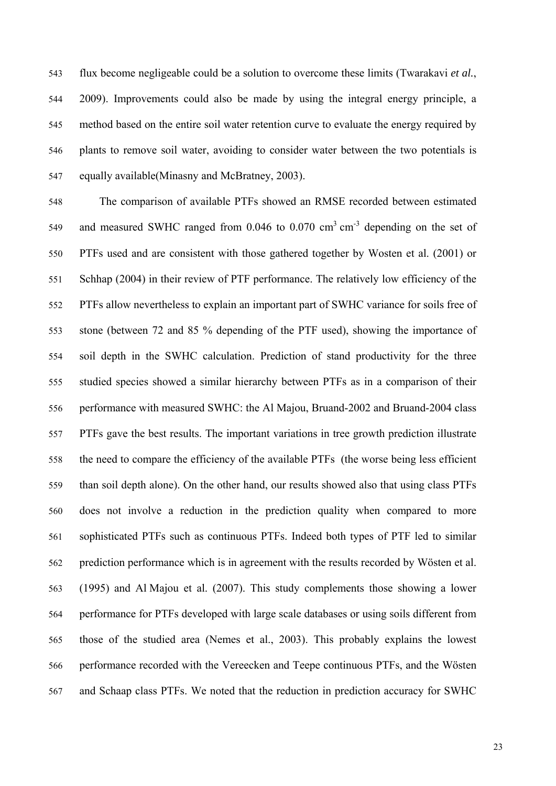flux become negligeable could be a solution to overcome these limits (Twarakavi et al., 544 2009). Improvements could also be made by using the integral energy principle, a method based on the entire soil water retention curve to evaluate the energy required by plants to remove soil water, avoiding to consider water between the two potentials is equally available(Minasny and McBratney, 2003).

The comparison of available PTFs showed an RMSE recorded between estimated and measured SWHC ranged from  $0.046$  to  $0.070$  cm<sup>3</sup> cm<sup>-3</sup> depending on the set of PTFs used and are consistent with those gathered together by Wosten et al. (2001) or Schhap (2004) in their review of PTF performance. The relatively low efficiency of the PTFs allow nevertheless to explain an important part of SWHC variance for soils free of stone (between 72 and 85 % depending of the PTF used), showing the importance of soil depth in the SWHC calculation. Prediction of stand productivity for the three studied species showed a similar hierarchy between PTFs as in a comparison of their 556 performance with measured SWHC: the Al Majou, Bruand-2002 and Bruand-2004 class PTFs gave the best results. The important variations in tree growth prediction illustrate the need to compare the efficiency of the available PTFs (the worse being less efficient than soil depth alone). On the other hand, our results showed also that using class PTFs does not involve a reduction in the prediction quality when compared to more sophisticated PTFs such as continuous PTFs. Indeed both types of PTF led to similar prediction performance which is in agreement with the results recorded by Wösten et al.  $(1995)$  and Al Majou et al.  $(2007)$ . This study complements those showing a lower 564 performance for PTFs developed with large scale databases or using soils different from those of the studied area (Nemes et al., 2003). This probably explains the lowest 566 performance recorded with the Vereecken and Teepe continuous PTFs, and the Wösten and Schaap class PTFs. We noted that the reduction in prediction accuracy for SWHC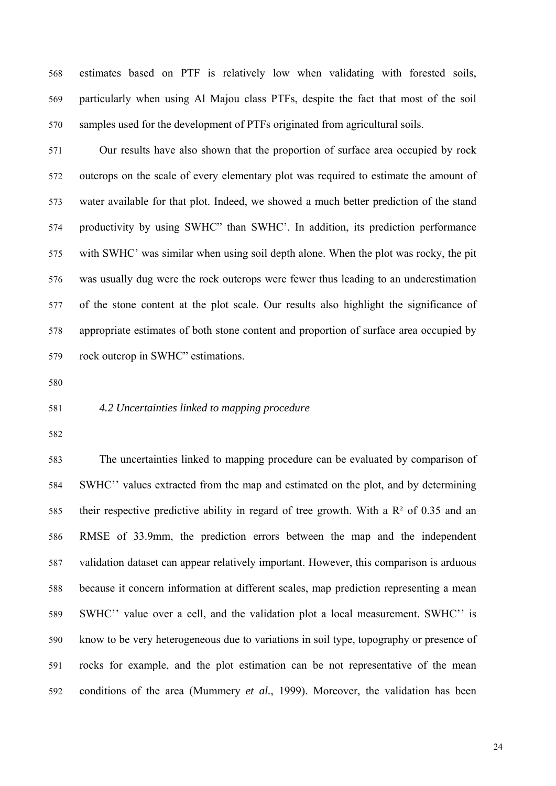estimates based on PTF is relatively low when validating with forested soils, particularly when using Al Majou class PTFs, despite the fact that most of the soil samples used for the development of PTFs originated from agricultural soils.

Our results have also shown that the proportion of surface area occupied by rock outcrops on the scale of every elementary plot was required to estimate the amount of water available for that plot. Indeed, we showed a much better prediction of the stand productivity by using SWHC" than SWHC'. In addition, its prediction performance with SWHC' was similar when using soil depth alone. When the plot was rocky, the pit was usually dug were the rock outcrops were fewer thus leading to an underestimation of the stone content at the plot scale. Our results also highlight the significance of appropriate estimates of both stone content and proportion of surface area occupied by rock outcrop in SWHC" estimations.

#### 581 *4.2 Uncertainties linked to mapping procedure*

The uncertainties linked to mapping procedure can be evaluated by comparison of SWHC'' values extracted from the map and estimated on the plot, and by determining their respective predictive ability in regard of tree growth. With a  $\mathbb{R}^2$  of 0.35 and an RMSE of 33.9mm, the prediction errors between the map and the independent 587 validation dataset can appear relatively important. However, this comparison is arduous because it concern information at different scales, map prediction representing a mean 589 SWHC'' value over a cell, and the validation plot a local measurement. SWHC'' is know to be very heterogeneous due to variations in soil type, topography or presence of rocks for example, and the plot estimation can be not representative of the mean 592 conditions of the area (Mummery *et al.*, 1999). Moreover, the validation has been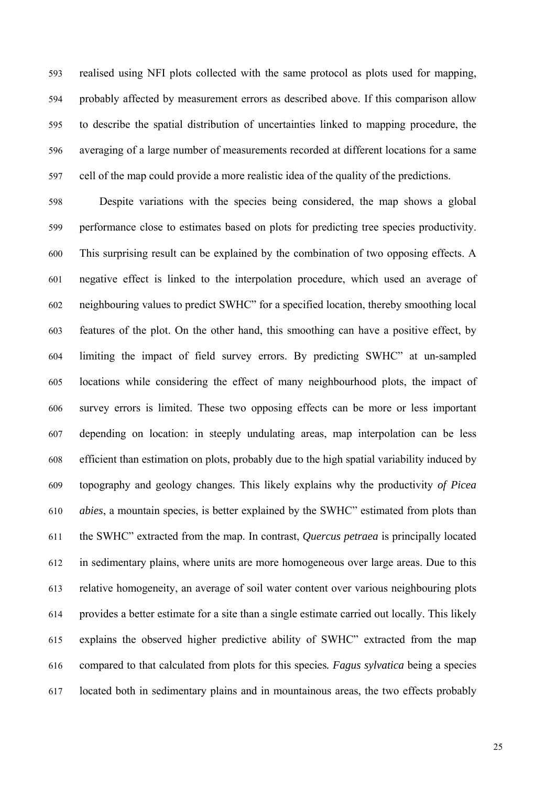realised using NFI plots collected with the same protocol as plots used for mapping, probably affected by measurement errors as described above. If this comparison allow 595 to describe the spatial distribution of uncertainties linked to mapping procedure, the averaging of a large number of measurements recorded at different locations for a same cell of the map could provide a more realistic idea of the quality of the predictions.

Despite variations with the species being considered, the map shows a global performance close to estimates based on plots for predicting tree species productivity. This surprising result can be explained by the combination of two opposing effects. A negative effect is linked to the interpolation procedure, which used an average of neighbouring values to predict SWHC" for a specified location, thereby smoothing local features of the plot. On the other hand, this smoothing can have a positive effect, by limiting the impact of field survey errors. By predicting SWHC" at un-sampled locations while considering the effect of many neighbourhood plots, the impact of survey errors is limited. These two opposing effects can be more or less important depending on location: in steeply undulating areas, map interpolation can be less efficient than estimation on plots, probably due to the high spatial variability induced by 609 topography and geology changes. This likely explains why the productivity *of Picea abies*, a mountain species, is better explained by the SWHC" estimated from plots than 611 the SWHC" extracted from the map. In contrast, *Quercus petraea* is principally located in sedimentary plains, where units are more homogeneous over large areas. Due to this relative homogeneity, an average of soil water content over various neighbouring plots provides a better estimate for a site than a single estimate carried out locally. This likely explains the observed higher predictive ability of SWHC" extracted from the map 616 compared to that calculated from plots for this species*. Fagus sylvatica* being a species located both in sedimentary plains and in mountainous areas, the two effects probably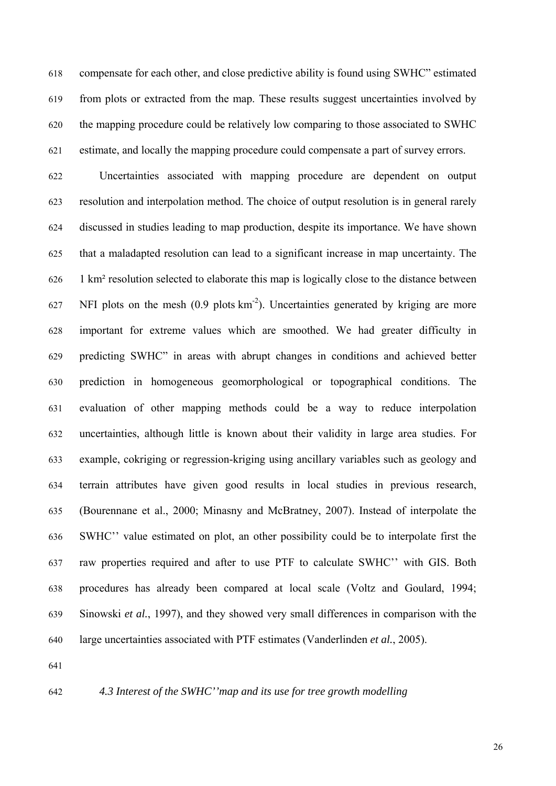compensate for each other, and close predictive ability is found using SWHC" estimated from plots or extracted from the map. These results suggest uncertainties involved by the mapping procedure could be relatively low comparing to those associated to SWHC estimate, and locally the mapping procedure could compensate a part of survey errors.

Uncertainties associated with mapping procedure are dependent on output resolution and interpolation method. The choice of output resolution is in general rarely discussed in studies leading to map production, despite its importance. We have shown 625 that a maladapted resolution can lead to a significant increase in map uncertainty. The 1 km<sup>2</sup> resolution selected to elaborate this map is logically close to the distance between NFI plots on the mesh  $(0.9 \text{ plots km}^2)$ . Uncertainties generated by kriging are more important for extreme values which are smoothed. We had greater difficulty in predicting SWHC" in areas with abrupt changes in conditions and achieved better prediction in homogeneous geomorphological or topographical conditions. The evaluation of other mapping methods could be a way to reduce interpolation 632 uncertainties, although little is known about their validity in large area studies. For example, cokriging or regression-kriging using ancillary variables such as geology and terrain attributes have given good results in local studies in previous research, (Bourennane et al., 2000; Minasny and McBratney, 2007). Instead of interpolate the SWHC" value estimated on plot, an other possibility could be to interpolate first the raw properties required and after to use PTF to calculate SWHC'' with GIS. Both procedures has already been compared at local scale (Voltz and Goulard, 1994; Sinowski *et al.*, 1997), and they showed very small differences in comparison with the large uncertainties associated with PTF estimates (Vanderlinden *et al.*, 2005).

# 642 *4.3 Interest of the SWHC''map and its use for tree growth modelling*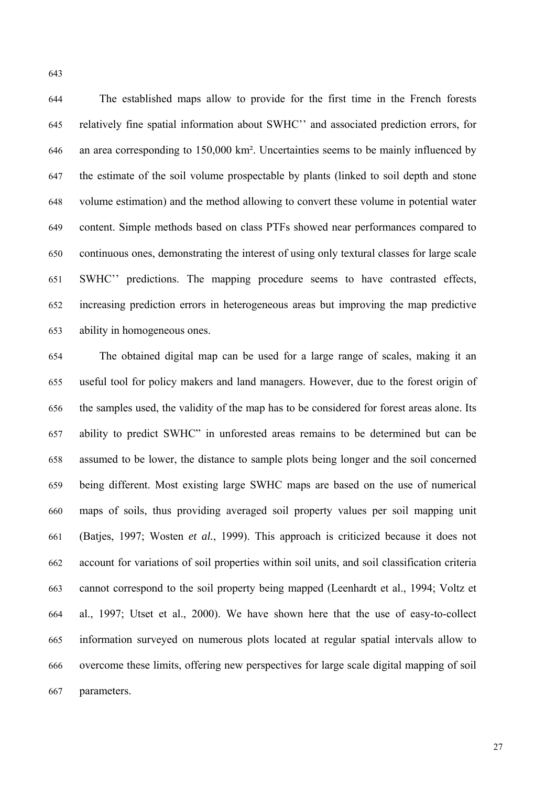The established maps allow to provide for the first time in the French forests relatively fine spatial information about SWHC'' and associated prediction errors, for an area corresponding to 150,000 km<sup>2</sup>. Uncertainties seems to be mainly influenced by the estimate of the soil volume prospectable by plants (linked to soil depth and stone 648 volume estimation) and the method allowing to convert these volume in potential water content. Simple methods based on class PTFs showed near performances compared to continuous ones, demonstrating the interest of using only textural classes for large scale SWHC" predictions. The mapping procedure seems to have contrasted effects, increasing prediction errors in heterogeneous areas but improving the map predictive ability in homogeneous ones.

The obtained digital map can be used for a large range of scales, making it an useful tool for policy makers and land managers. However, due to the forest origin of the samples used, the validity of the map has to be considered for forest areas alone. Its ability to predict SWHC" in unforested areas remains to be determined but can be assumed to be lower, the distance to sample plots being longer and the soil concerned being different. Most existing large SWHC maps are based on the use of numerical maps of soils, thus providing averaged soil property values per soil mapping unit 661 (Batjes, 1997; Wosten *et al.*, 1999). This approach is criticized because it does not account for variations of soil properties within soil units, and soil classification criteria cannot correspond to the soil property being mapped (Leenhardt et al., 1994; Voltz et al., 1997; Utset et al., 2000). We have shown here that the use of easy-to-collect information surveyed on numerous plots located at regular spatial intervals allow to overcome these limits, offering new perspectives for large scale digital mapping of soil parameters.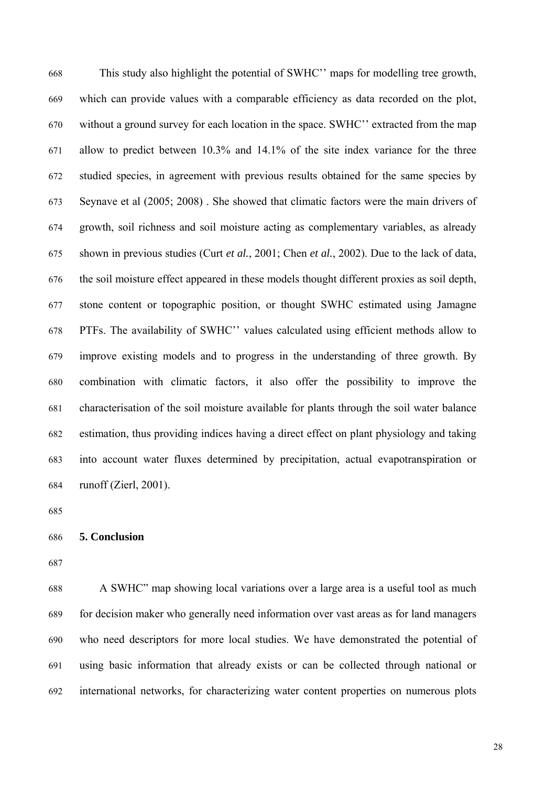This study also highlight the potential of SWHC'' maps for modelling tree growth, which can provide values with a comparable efficiency as data recorded on the plot, without a ground survey for each location in the space. SWHC" extracted from the map allow to predict between  $10.3\%$  and  $14.1\%$  of the site index variance for the three studied species, in agreement with previous results obtained for the same species by Seynave et al (2005; 2008). She showed that climatic factors were the main drivers of growth, soil richness and soil moisture acting as complementary variables, as already 675 shown in previous studies (Curt *et al.*, 2001; Chen *et al.*, 2002). Due to the lack of data, the soil moisture effect appeared in these models thought different proxies as soil depth, stone content or topographic position, or thought SWHC estimated using Jamagne PTFs. The availability of SWHC'' values calculated using efficient methods allow to improve existing models and to progress in the understanding of three growth. By combination with climatic factors, it also offer the possibility to improve the characterisation of the soil moisture available for plants through the soil water balance estimation, thus providing indices having a direct effect on plant physiology and taking into account water fluxes determined by precipitation, actual evapotranspiration or runoff (Zierl,  $2001$ ).

#### 686 **5. Conclusion**

688 A SWHC" map showing local variations over a large area is a useful tool as much for decision maker who generally need information over vast areas as for land managers who need descriptors for more local studies. We have demonstrated the potential of using basic information that already exists or can be collected through national or international networks, for characterizing water content properties on numerous plots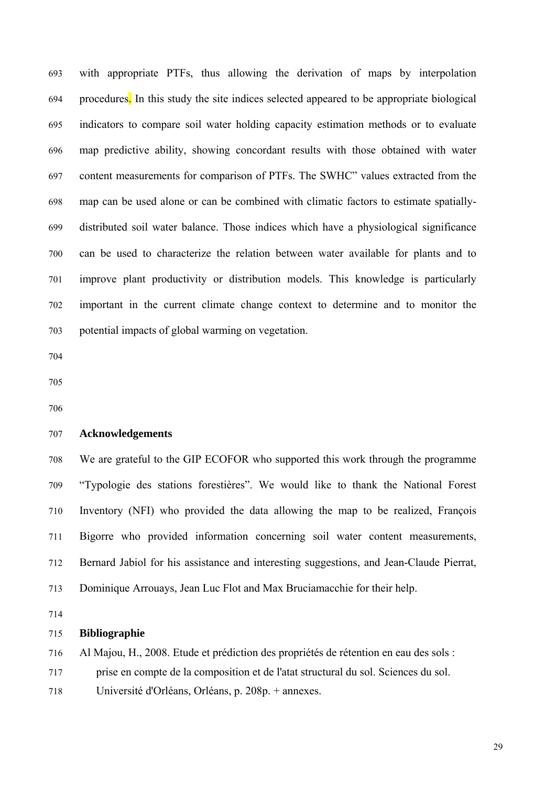with appropriate PTFs, thus allowing the derivation of maps by interpolation procedures. In this study the site indices selected appeared to be appropriate biological indicators to compare soil water holding capacity estimation methods or to evaluate map predictive ability, showing concordant results with those obtained with water content measurements for comparison of PTFs. The SWHC" values extracted from the map can be used alone or can be combined with climatic factors to estimate spatiallydistributed soil water balance. Those indices which have a physiological significance can be used to characterize the relation between water available for plants and to improve plant productivity or distribution models. This knowledge is particularly important in the current climate change context to determine and to monitor the potential impacts of global warming on vegetation.

# 707 **Acknowledgements**

We are grateful to the GIP ECOFOR who supported this work through the programme "Typologie des stations forestières". We would like to thank the National Forest Inventory (NFI) who provided the data allowing the map to be realized, François Bigorre who provided information concerning soil water content measurements, Bernard Jabiol for his assistance and interesting suggestions, and Jean-Claude Pierrat, Dominique Arrouays, Jean Luc Flot and Max Bruciamacchie for their help.

#### **Bibliographie**

716 Al Majou, H., 2008. Etude et prédiction des propriétés de rétention en eau des sols : 717 prise en compte de la composition et de l'atat structural du sol. Sciences du sol. Université d'Orléans, Orléans, p. 208p. + annexes.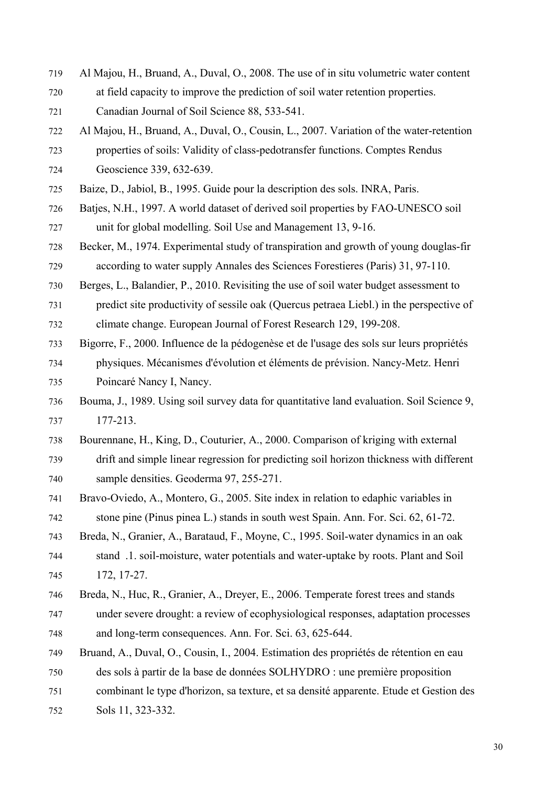- Al Majou, H., Bruand, A., Duval, O., 2008. The use of in situ volumetric water content at field capacity to improve the prediction of soil water retention properties. Canadian Journal of Soil Science 88, 533-541.
- Al Majou, H., Bruand, A., Duval, O., Cousin, L., 2007. Variation of the water-retention properties of soils: Validity of class-pedotransfer functions. Comptes Rendus Geoscience 339, 632-639.

Baize, D., Jabiol, B., 1995. Guide pour la description des sols. INRA, Paris.

- Batjes, N.H., 1997. A world dataset of derived soil properties by FAO-UNESCO soil unit for global modelling. Soil Use and Management 13, 9-16.
- Becker, M., 1974. Experimental study of transpiration and growth of young douglas-fir according to water supply Annales des Sciences Forestieres (Paris) 31, 97-110.
- Berges, L., Balandier, P., 2010. Revisiting the use of soil water budget assessment to predict site productivity of sessile oak (Quercus petraea Liebl.) in the perspective of climate change. European Journal of Forest Research 129, 199-208.
- 733 Bigorre, F., 2000. Influence de la pédogenèse et de l'usage des sols sur leurs propriétés 734 physiques. Mécanismes d'évolution et éléments de prévision. Nancy-Metz. Henri Poincaré Nancy I, Nancy.
- Bouma, J., 1989. Using soil survey data for quantitative land evaluation. Soil Science 9, 737 177-213.
- Bourennane, H., King, D., Couturier, A., 2000. Comparison of kriging with external 739 drift and simple linear regression for predicting soil horizon thickness with different sample densities. Geoderma 97, 255-271.
- Bravo-Oviedo, A., Montero, G., 2005. Site index in relation to edaphic variables in stone pine (Pinus pinea L.) stands in south west Spain. Ann. For. Sci. 62, 61-72.
- Breda, N., Granier, A., Barataud, F., Moyne, C., 1995. Soil-water dynamics in an oak stand .1. soil-moisture, water potentials and water-uptake by roots. Plant and Soil 172, 17-27.
- Breda, N., Huc, R., Granier, A., Dreyer, E., 2006. Temperate forest trees and stands 747 under severe drought: a review of ecophysiological responses, adaptation processes and long-term consequences. Ann. For. Sci. 63, 625-644.
- Bruand, A., Duval, O., Cousin, I., 2004. Estimation des propriétés de rétention en eau 750 des sols à partir de la base de données SOLHYDRO : une première proposition 751 combinant le type d'horizon, sa texture, et sa densité apparente. Etude et Gestion des Sols 11, 323-332.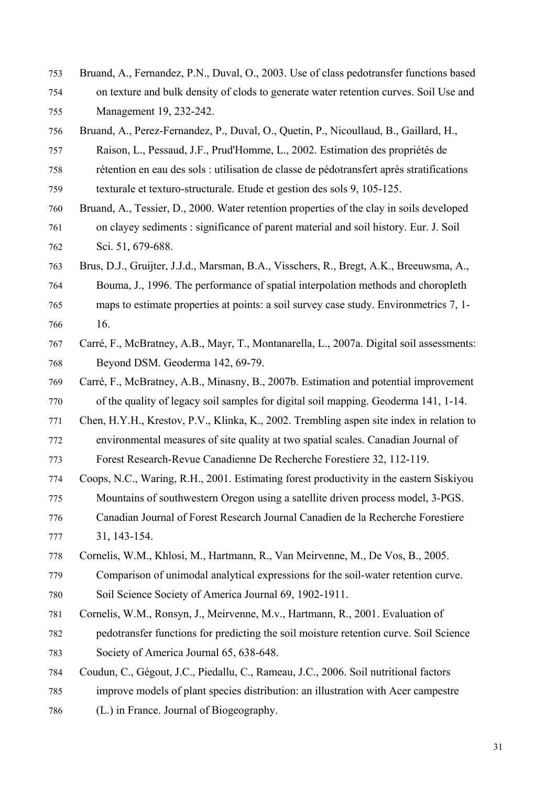- Bruand, A., Fernandez, P.N., Duval, O., 2003. Use of class pedotransfer functions based 754 on texture and bulk density of clods to generate water retention curves. Soil Use and Management 19, 232-242.
- Bruand, A., Perez-Fernandez, P., Duval, O., Quetin, P., Nicoullaud, B., Gaillard, H., 757 Raison, L., Pessaud, J.F., Prud'Homme, L., 2002. Estimation des propriétés de rétention en eau des sols : utilisation de classe de pédotransfert après stratifications texturale et texturo-structurale. Etude et gestion des sols 9, 105-125.
- Bruand, A., Tessier, D., 2000. Water retention properties of the clay in soils developed 761 on clayey sediments : significance of parent material and soil history. Eur. J. Soil Sci. 51, 679-688.
- 763 Brus, D.J., Gruijter, J.J.d., Marsman, B.A., Visschers, R., Bregt, A.K., Breeuwsma, A., Bouma, J., 1996. The performance of spatial interpolation methods and choropleth maps to estimate properties at points: a soil survey case study. Environmetrics 7, 1- $16.$
- Carré, F., McBratney, A.B., Mayr, T., Montanarella, L., 2007a. Digital soil assessments: Beyond DSM. Geoderma 142, 69-79.
- Carré, F., McBratney, A.B., Minasny, B., 2007b. Estimation and potential improvement of the quality of legacy soil samples for digital soil mapping. Geoderma 141, 1-14.
- Chen, H.Y.H., Krestov, P.V., Klinka, K., 2002. Trembling aspen site index in relation to 772 environmental measures of site quality at two spatial scales. Canadian Journal of Forest Research-Revue Canadienne De Recherche Forestiere 32, 112-119.
- 774 Coops, N.C., Waring, R.H., 2001. Estimating forest productivity in the eastern Siskiyou Mountains of southwestern Oregon using a satellite driven process model, 3-PGS. 776 Canadian Journal of Forest Research Journal Canadien de la Recherche Forestiere 31, 143-154.
- Cornelis, W.M., Khlosi, M., Hartmann, R., Van Meirvenne, M., De Vos, B., 2005. Comparison of unimodal analytical expressions for the soil-water retention curve. Soil Science Society of America Journal 69, 1902-1911.
- Cornelis, W.M., Ronsyn, J., Meirvenne, M.v., Hartmann, R., 2001. Evaluation of 782 pedotransfer functions for predicting the soil moisture retention curve. Soil Science Society of America Journal 65, 638-648.
- 784 Coudun, C., Gégout, J.C., Piedallu, C., Rameau, J.C., 2006. Soil nutritional factors improve models of plant species distribution: an illustration with Acer campestre (L.) in France. Journal of Biogeography.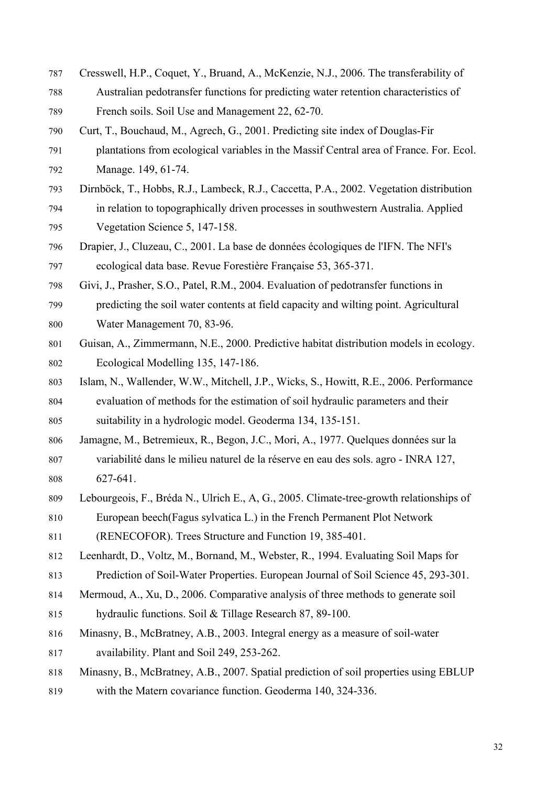- Cresswell, H.P., Coquet, Y., Bruand, A., McKenzie, N.J., 2006. The transferability of Australian pedotransfer functions for predicting water retention characteristics of French soils. Soil Use and Management 22, 62-70.
- Curt, T., Bouchaud, M., Agrech, G., 2001. Predicting site index of Douglas-Fir plantations from ecological variables in the Massif Central area of France. For. Ecol. Manage. 149, 61-74.
- Dirnböck, T., Hobbs, R.J., Lambeck, R.J., Caccetta, P.A., 2002. Vegetation distribution in relation to topographically driven processes in southwestern Australia. Applied Vegetation Science 5, 147-158.
- Drapier, J., Cluzeau, C., 2001. La base de données écologiques de l'IFN. The NFI's ecological data base. Revue Forestière Française 53, 365-371.
- Givi, J., Prasher, S.O., Patel, R.M., 2004. Evaluation of pedotransfer functions in predicting the soil water contents at field capacity and wilting point. Agricultural Water Management 70, 83-96.
- Guisan, A., Zimmermann, N.E., 2000. Predictive habitat distribution models in ecology. Ecological Modelling 135, 147-186.
- Islam, N., Wallender, W.W., Mitchell, J.P., Wicks, S., Howitt, R.E., 2006. Performance evaluation of methods for the estimation of soil hydraulic parameters and their suitability in a hydrologic model. Geoderma 134, 135-151.
- Jamagne, M., Betremieux, R., Begon, J.C., Mori, A., 1977. Quelques données sur la 807 variabilité dans le milieu naturel de la réserve en eau des sols. agro - INRA 127, 627-641.
- Lebourgeois, F., Bréda N., Ulrich E., A, G., 2005. Climate-tree-growth relationships of European beech(Fagus sylvatica L.) in the French Permanent Plot Network (RENECOFOR). Trees Structure and Function 19, 385-401.
- Leenhardt, D., Voltz, M., Bornand, M., Webster, R., 1994. Evaluating Soil Maps for Prediction of Soil-Water Properties. European Journal of Soil Science 45, 293-301.
- Mermoud, A., Xu, D., 2006. Comparative analysis of three methods to generate soil hydraulic functions. Soil & Tillage Research 87, 89-100.
- Minasny, B., McBratney, A.B., 2003. Integral energy as a measure of soil-water availability. Plant and Soil 249, 253-262.
- Minasny, B., McBratney, A.B., 2007. Spatial prediction of soil properties using EBLUP with the Matern covariance function. Geoderma 140, 324-336.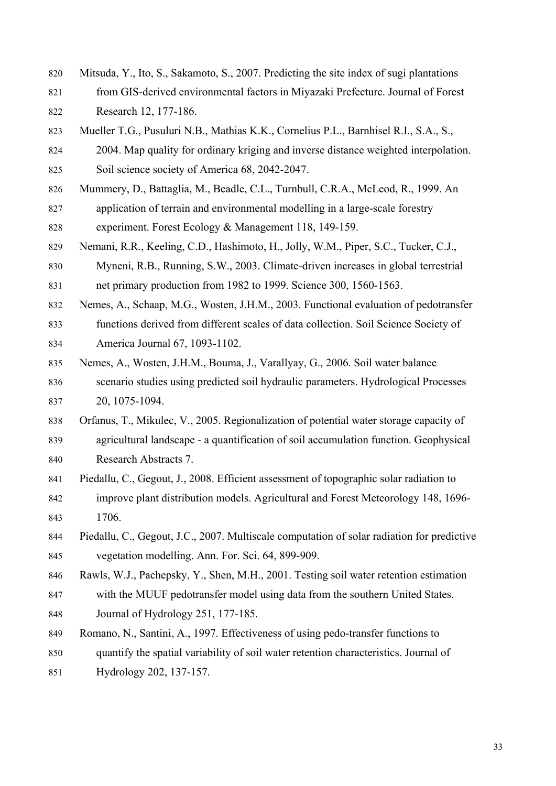- Mitsuda, Y., Ito, S., Sakamoto, S., 2007. Predicting the site index of sugi plantations 821 from GIS-derived environmental factors in Miyazaki Prefecture. Journal of Forest Research 12, 177-186.
- 823 Mueller T.G., Pusuluri N.B., Mathias K.K., Cornelius P.L., Barnhisel R.I., S.A., S., 2004. Map quality for ordinary kriging and inverse distance weighted interpolation. Soil science society of America 68, 2042-2047.
- 826 Mummery, D., Battaglia, M., Beadle, C.L., Turnbull, C.R.A., McLeod, R., 1999. An application of terrain and environmental modelling in a large-scale forestry experiment. Forest Ecology & Management 118, 149-159.
- Nemani, R.R., Keeling, C.D., Hashimoto, H., Jolly, W.M., Piper, S.C., Tucker, C.J., Myneni, R.B., Running, S.W., 2003. Climate-driven increases in global terrestrial net primary production from 1982 to 1999. Science 300, 1560-1563.
- Nemes, A., Schaap, M.G., Wosten, J.H.M., 2003. Functional evaluation of pedotransfer functions derived from different scales of data collection. Soil Science Society of America Journal 67, 1093-1102.
- Nemes, A., Wosten, J.H.M., Bouma, J., Varallyay, G., 2006. Soil water balance scenario studies using predicted soil hydraulic parameters. Hydrological Processes 20, 1075-1094.
- 838 Orfanus, T., Mikulec, V., 2005. Regionalization of potential water storage capacity of agricultural landscape - a quantification of soil accumulation function. Geophysical Research Abstracts 7.
- Piedallu, C., Gegout, J., 2008. Efficient assessment of topographic solar radiation to 842 improve plant distribution models. Agricultural and Forest Meteorology 148, 1696- 1706.
- Piedallu, C., Gegout, J.C., 2007. Multiscale computation of solar radiation for predictive vegetation modelling. Ann. For. Sci. 64, 899-909.
- Rawls, W.J., Pachepsky, Y., Shen, M.H., 2001. Testing soil water retention estimation with the MUUF pedotransfer model using data from the southern United States. Journal of Hydrology 251, 177-185.
- Romano, N., Santini, A., 1997. Effectiveness of using pedo-transfer functions to 850 quantify the spatial variability of soil water retention characteristics. Journal of 851 Hydrology 202, 137-157.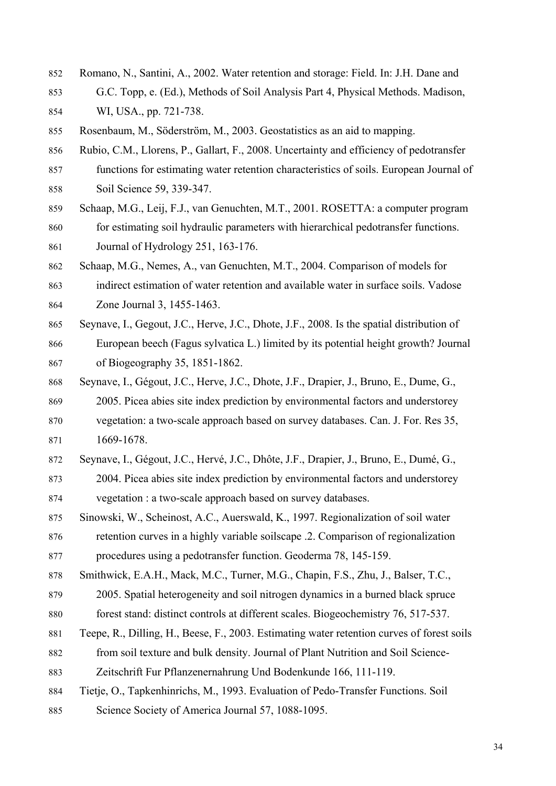Romano, N., Santini, A., 2002. Water retention and storage: Field. In: J.H. Dane and 853 G.C. Topp, e. (Ed.), Methods of Soil Analysis Part 4, Physical Methods. Madison, WI, USA., pp. 721-738.

Rosenbaum, M., Söderström, M., 2003. Geostatistics as an aid to mapping.

- Rubio, C.M., Llorens, P., Gallart, F., 2008. Uncertainty and efficiency of pedotransfer functions for estimating water retention characteristics of soils. European Journal of Soil Science 59, 339-347.
- Schaap, M.G., Leij, F.J., van Genuchten, M.T., 2001. ROSETTA: a computer program for estimating soil hydraulic parameters with hierarchical pedotransfer functions. Journal of Hydrology 251, 163-176.
- Schaap, M.G., Nemes, A., van Genuchten, M.T., 2004. Comparison of models for 863 indirect estimation of water retention and available water in surface soils. Vadose Zone Journal 3, 1455-1463.
- Seynave, I., Gegout, J.C., Herve, J.C., Dhote, J.F., 2008. Is the spatial distribution of European beech (Fagus sylvatica L.) limited by its potential height growth? Journal of Biogeography 35, 1851-1862.
- 868 Seynave, I., Gégout, J.C., Herve, J.C., Dhote, J.F., Drapier, J., Bruno, E., Dume, G., 2005. Picea abies site index prediction by environmental factors and understorey vegetation: a two-scale approach based on survey databases. Can. J. For. Res 35, 871 1669-1678.
- 872 Seynave, I., Gégout, J.C., Hervé, J.C., Dhôte, J.F., Drapier, J., Bruno, E., Dumé, G., 2004. Picea abies site index prediction by environmental factors and understorey vegetation : a two-scale approach based on survey databases.
- Sinowski, W., Scheinost, A.C., Auerswald, K., 1997. Regionalization of soil water retention curves in a highly variable soilscape .2. Comparison of regionalization procedures using a pedotransfer function. Geoderma 78, 145-159.
- Smithwick, E.A.H., Mack, M.C., Turner, M.G., Chapin, F.S., Zhu, J., Balser, T.C., 879 2005. Spatial heterogeneity and soil nitrogen dynamics in a burned black spruce forest stand: distinct controls at different scales. Biogeochemistry 76, 517-537.
- Teepe, R., Dilling, H., Beese, F., 2003. Estimating water retention curves of forest soils from soil texture and bulk density. Journal of Plant Nutrition and Soil Science-Zeitschrift Fur Pflanzenernahrung Und Bodenkunde 166, 111-119.
- Tietje, O., Tapkenhinrichs, M., 1993. Evaluation of Pedo-Transfer Functions. Soil Science Society of America Journal 57, 1088-1095.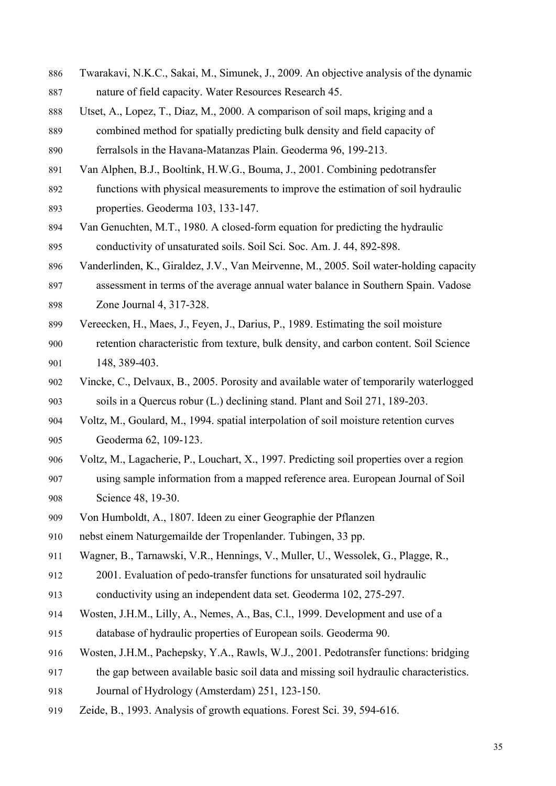- Twarakavi, N.K.C., Sakai, M., Simunek, J., 2009. An objective analysis of the dynamic nature of field capacity. Water Resources Research 45.
- Utset, A., Lopez, T., Diaz, M., 2000. A comparison of soil maps, kriging and a 889 combined method for spatially predicting bulk density and field capacity of ferralsols in the Havana-Matanzas Plain. Geoderma 96, 199-213.
- Van Alphen, B.J., Booltink, H.W.G., Bouma, J., 2001. Combining pedotransfer functions with physical measurements to improve the estimation of soil hydraulic properties. Geoderma 103, 133-147.
- Van Genuchten, M.T., 1980. A closed-form equation for predicting the hydraulic conductivity of unsaturated soils. Soil Sci. Soc. Am. J. 44, 892-898.
- 896 Vanderlinden, K., Giraldez, J.V., Van Meirvenne, M., 2005. Soil water-holding capacity assessment in terms of the average annual water balance in Southern Spain. Vadose Zone Journal 4, 317-328.
- Vereecken, H., Maes, J., Feyen, J., Darius, P., 1989. Estimating the soil moisture retention characteristic from texture, bulk density, and carbon content. Soil Science 148, 389-403.
- Vincke, C., Delvaux, B., 2005. Porosity and available water of temporarily waterlogged soils in a Quercus robur (L.) declining stand. Plant and Soil 271, 189-203.
- Voltz, M., Goulard, M., 1994. spatial interpolation of soil moisture retention curves Geoderma 62, 109-123.
- Voltz, M., Lagacherie, P., Louchart, X., 1997. Predicting soil properties over a region using sample information from a mapped reference area. European Journal of Soil Science 48, 19-30.
- 909 Von Humboldt, A., 1807. Ideen zu einer Geographie der Pflanzen
- 910 nebst einem Naturgemailde der Tropenlander. Tubingen, 33 pp.
- Wagner, B., Tarnawski, V.R., Hennings, V., Muller, U., Wessolek, G., Plagge, R., 2001. Evaluation of pedo-transfer functions for unsaturated soil hydraulic 913 conductivity using an independent data set. Geoderma 102, 275-297.
- Wosten, J.H.M., Lilly, A., Nemes, A., Bas, C.l., 1999. Development and use of a database of hydraulic properties of European soils. Geoderma 90.
- Wosten, J.H.M., Pachepsky, Y.A., Rawls, W.J., 2001. Pedotransfer functions: bridging the gap between available basic soil data and missing soil hydraulic characteristics. Journal of Hydrology (Amsterdam) 251, 123-150.
- Zeide, B., 1993. Analysis of growth equations. Forest Sci. 39, 594-616.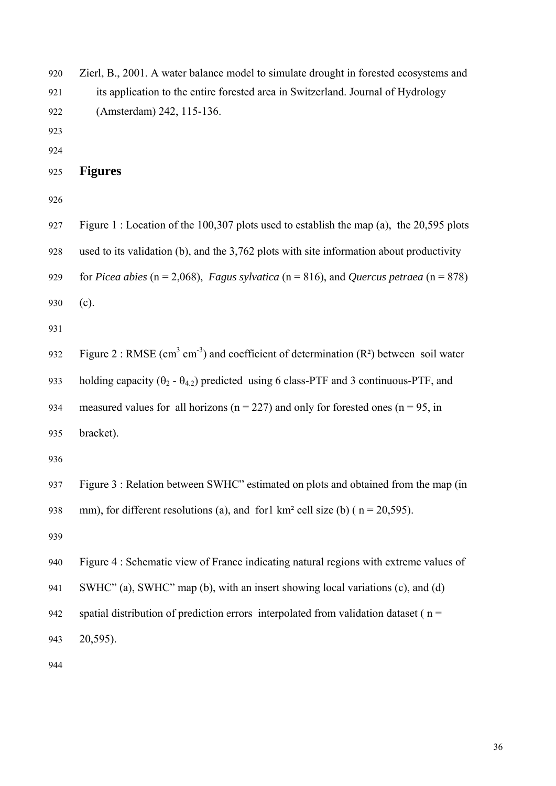Zierl, B., 2001. A water balance model to simulate drought in forested ecosystems and its application to the entire forested area in Switzerland. Journal of Hydrology (Amsterdam) 242, 115-136.

# **Figures**

Figure 1 : Location of the 100,307 plots used to establish the map (a), the 20,595 plots used to its validation (b), and the  $3,762$  plots with site information about productivity for *Picea abies* ( $n = 2,068$ ), *Fagus sylvatica* ( $n = 816$ ), and *Quercus petraea* ( $n = 878$ )  $(c).$ 

Figure 2 : RMSE (cm<sup>3</sup> cm<sup>-3</sup>) and coefficient of determination (R<sup>2</sup>) between soil water holding capacity ( $\theta_2$  -  $\theta_{4,2}$ ) predicted using 6 class-PTF and 3 continuous-PTF, and measured values for all horizons ( $n = 227$ ) and only for forested ones ( $n = 95$ , in bracket).

Figure 3 : Relation between SWHC" estimated on plots and obtained from the map (in mm), for different resolutions (a), and for1 km<sup>2</sup> cell size (b) ( $n = 20,595$ ).

Figure 4 : Schematic view of France indicating natural regions with extreme values of SWHC" (a), SWHC" map (b), with an insert showing local variations (c), and (d) spatial distribution of prediction errors interpolated from validation dataset ( $n =$ 943 20,595).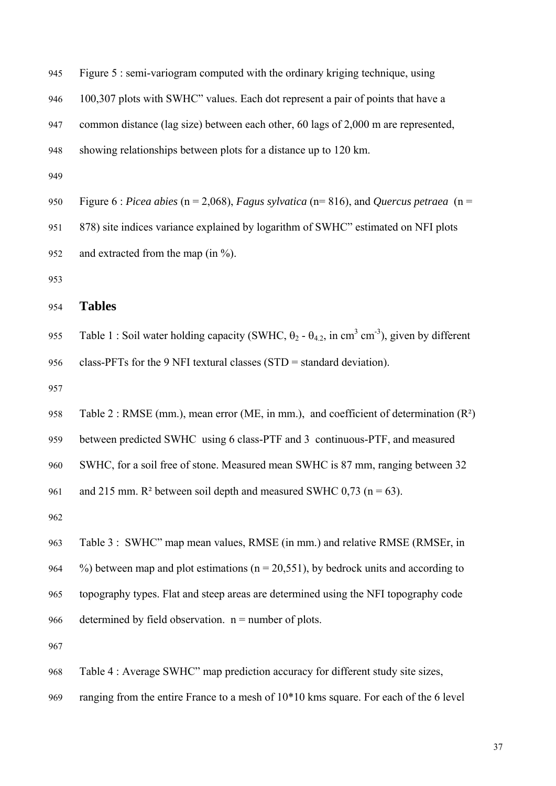Figure 5 : semi-variogram computed with the ordinary kriging technique, using 100,307 plots with SWHC" values. Each dot represent a pair of points that have a common distance (lag size) between each other, 60 lags of 2,000 m are represented, showing relationships between plots for a distance up to 120 km.

950 Figure 6 : *Picea abies* (n = 2,068), *Fagus sylvatica* (n= 816), and *Quercus petraea* (n = 878) site indices variance explained by logarithm of SWHC" estimated on NFI plots and extracted from the map (in  $\%$ ).

# 954 **Tables**

Table 1 : Soil water holding capacity (SWHC,  $\theta_2 - \theta_{4,2}$ , in cm<sup>3</sup> cm<sup>-3</sup>), given by different class-PFTs for the 9 NFI textural classes (STD = standard deviation).

Table 2 : RMSE (mm.), mean error (ME, in mm.), and coefficient of determination  $(R^2)$ between predicted SWHC using 6 class-PTF and 3 continuous-PTF, and measured SWHC, for a soil free of stone. Measured mean SWHC is 87 mm, ranging between 32 and 215 mm.  $R^2$  between soil depth and measured SWHC 0,73 (n = 63).

Table 3 : SWHC" map mean values, RMSE (in mm.) and relative RMSE (RMSEr, in  $\%$ ) between map and plot estimations (n = 20,551), by bedrock units and according to topography types. Flat and steep areas are determined using the NFI topography code determined by field observation.  $n =$  number of plots.

Table 4 : Average SWHC" map prediction accuracy for different study site sizes, ranging from the entire France to a mesh of  $10*10$  kms square. For each of the 6 level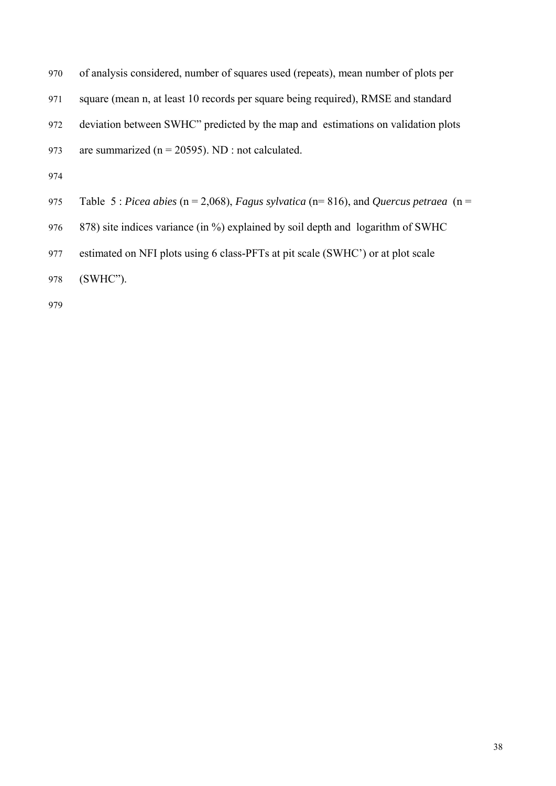of analysis considered, number of squares used (repeats), mean number of plots per square (mean n, at least 10 records per square being required), RMSE and standard deviation between SWHC" predicted by the map and estimations on validation plots are summarized ( $n = 20595$ ). ND : not calculated.

Table 5 : *Picea abies* (n = 2,068), *Fagus sylvatica* (n= 816), and *Quercus petraea* (n = 976 878) site indices variance (in %) explained by soil depth and logarithm of SWHC estimated on NFI plots using 6 class-PFTs at pit scale (SWHC') or at plot scale  $(SWHC")$ .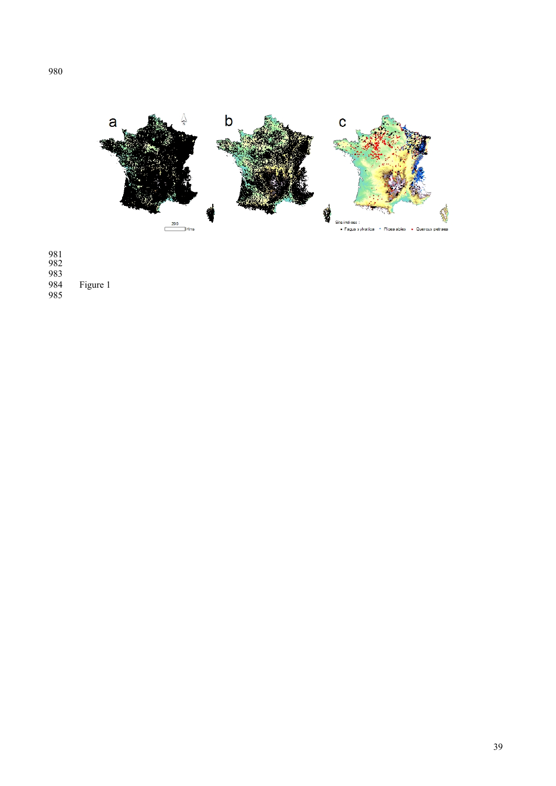

Figure 1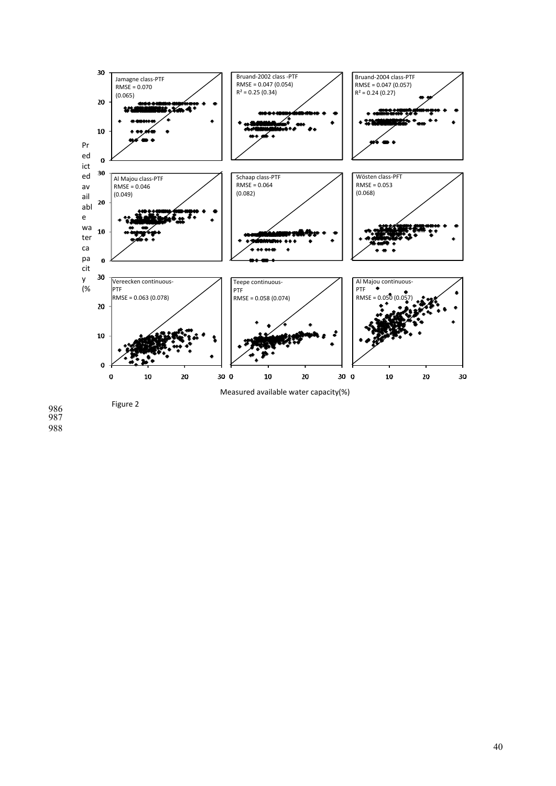

Figure 2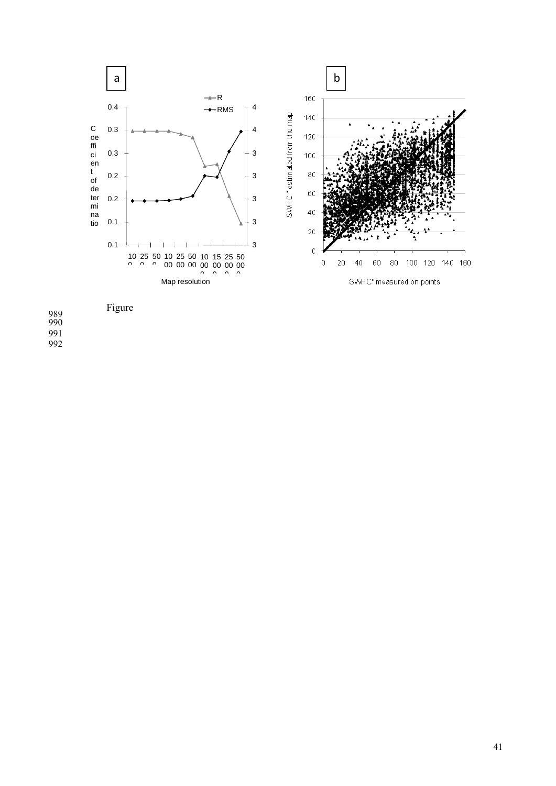

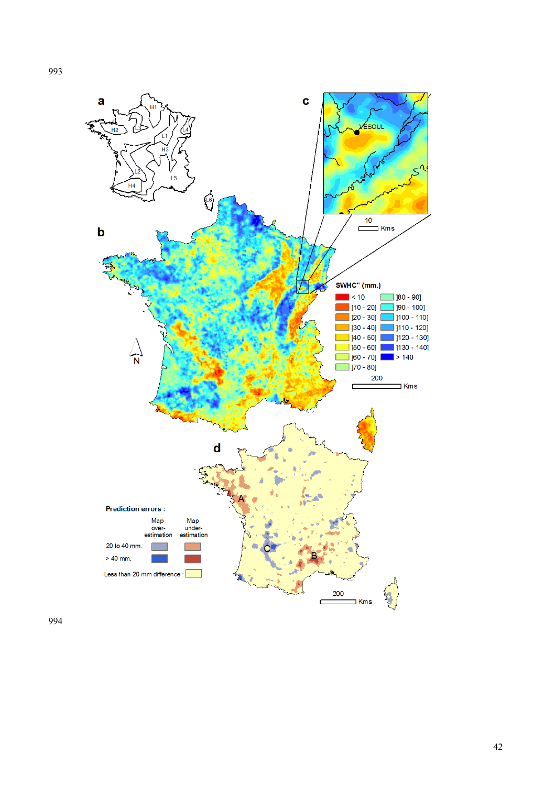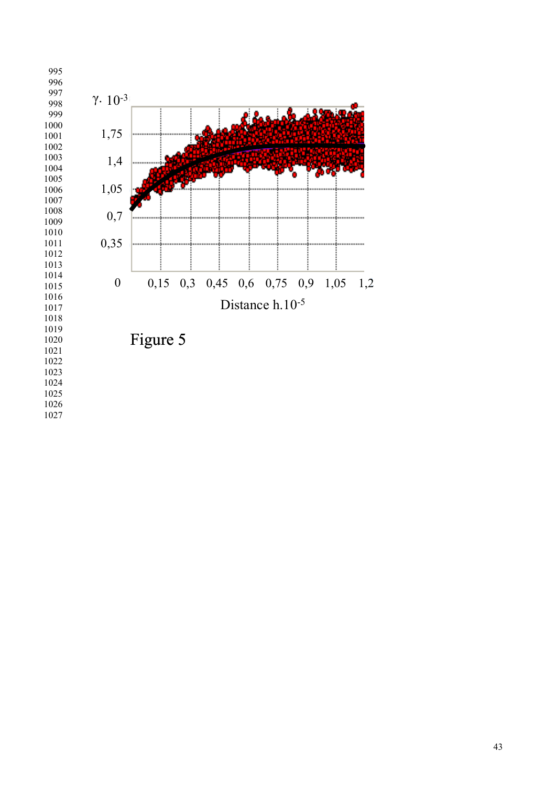

Figure 5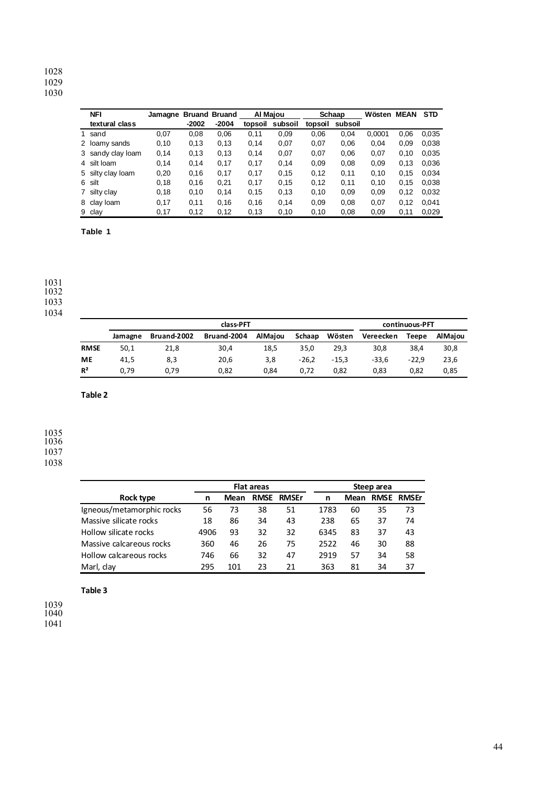| <b>NFI</b>        | Jamagne |         | <b>Bruand Bruand</b> | Al Majou |         |         | Schaap  | Wösten | <b>MEAN</b> | <b>STD</b> |
|-------------------|---------|---------|----------------------|----------|---------|---------|---------|--------|-------------|------------|
| textural class    |         | $-2002$ | $-2004$              | topsoil  | subsoil | topsoil | subsoil |        |             |            |
| 1 sand            | 0,07    | 0.08    | 0,06                 | 0.11     | 0,09    | 0.06    | 0,04    | 0,0001 | 0.06        | 0,035      |
| 2 loamy sands     | 0,10    | 0,13    | 0,13                 | 0,14     | 0,07    | 0,07    | 0,06    | 0.04   | 0.09        | 0,038      |
| 3 sandy clay loam | 0,14    | 0,13    | 0.13                 | 0.14     | 0,07    | 0,07    | 0,06    | 0.07   | 0.10        | 0.035      |
| 4 silt loam       | 0.14    | 0.14    | 0,17                 | 0.17     | 0,14    | 0,09    | 0,08    | 0.09   | 0.13        | 0.036      |
| 5 silty clay loam | 0,20    | 0.16    | 0.17                 | 0.17     | 0.15    | 0.12    | 0.11    | 0.10   | 0.15        | 0.034      |
| 6 silt            | 0,18    | 0,16    | 0,21                 | 0,17     | 0,15    | 0,12    | 0,11    | 0,10   | 0.15        | 0.038      |
| 7 silty clay      | 0,18    | 0.10    | 0.14                 | 0, 15    | 0,13    | 0,10    | 0,09    | 0.09   | 0.12        | 0.032      |
| 8 clay loam       | 0,17    | 0.11    | 0.16                 | 0,16     | 0,14    | 0.09    | 0,08    | 0.07   | 0.12        | 0.041      |
| 9 clay            | 0,17    | 0,12    | 0,12                 | 0,13     | 0,10    | 0,10    | 0,08    | 0,09   | 0,11        | 0,029      |

**Table 1**

|             |         |             | continuous-PFT |                |         |         |           |         |                |
|-------------|---------|-------------|----------------|----------------|---------|---------|-----------|---------|----------------|
|             | Jamagne | Bruand-2002 | Bruand-2004    | <b>AlMaiou</b> | Schaap  | Wösten  | Vereecken | Teepe   | <b>AlMaiou</b> |
| <b>RMSE</b> | 50,1    | 21.8        | 30,4           | 18,5           | 35,0    | 29,3    | 30,8      | 38,4    | 30,8           |
| ME          | 41,5    | 8,3         | 20,6           | 3,8            | $-26.2$ | $-15.3$ | $-33.6$   | $-22.9$ | 23,6           |
| $R^2$       | 0.79    | 0.79        | 0.82           | 0,84           | 0.72    | 0.82    | 0,83      | 0.82    | 0,85           |

**Table 2**

|                           | <b>Flat areas</b> |      |             |              |      | Steep area |    |                   |  |  |
|---------------------------|-------------------|------|-------------|--------------|------|------------|----|-------------------|--|--|
| Rock type                 | n                 | Mean | <b>RMSE</b> | <b>RMSEr</b> | n    | Mean       |    | <b>RMSE RMSEr</b> |  |  |
| Igneous/metamorphic rocks | 56                | 73   | 38          | 51           | 1783 | 60         | 35 | 73                |  |  |
| Massive silicate rocks    | 18                | 86   | 34          | 43           | 238  | 65         | 37 | 74                |  |  |
| Hollow silicate rocks     | 4906              | 93   | 32          | 32           | 6345 | 83         | 37 | 43                |  |  |
| Massive calcareous rocks  | 360               | 46   | 26          | 75           | 2522 | 46         | 30 | 88                |  |  |
| Hollow calcareous rocks   | 746               | 66   | 32          | 47           | 2919 | 57         | 34 | 58                |  |  |
| Marl, clay                | 295               | 101  | 23          | 21           | 363  | 81         | 34 | 37                |  |  |

**Table 3**